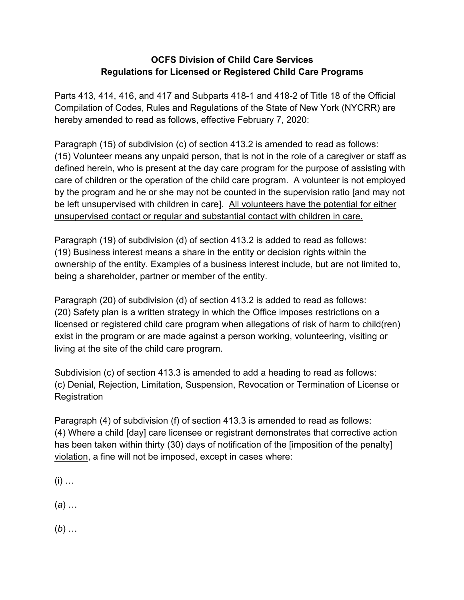## **OCFS Division of Child Care Services Regulations for Licensed or Registered Child Care Programs**

Parts 413, 414, 416, and 417 and Subparts 418-1 and 418-2 of Title 18 of the Official Compilation of Codes, Rules and Regulations of the State of New York (NYCRR) are hereby amended to read as follows, effective February 7, 2020:

Paragraph (15) of subdivision (c) of section 413.2 is amended to read as follows: (15) Volunteer means any unpaid person, that is not in the role of a caregiver or staff as defined herein, who is present at the day care program for the purpose of assisting with care of children or the operation of the child care program. A volunteer is not employed by the program and he or she may not be counted in the supervision ratio [and may not be left unsupervised with children in care]. All volunteers have the potential for either unsupervised contact or regular and substantial contact with children in care.

Paragraph (19) of subdivision (d) of section 413.2 is added to read as follows: (19) Business interest means a share in the entity or decision rights within the ownership of the entity. Examples of a business interest include, but are not limited to, being a shareholder, partner or member of the entity.

Paragraph (20) of subdivision (d) of section 413.2 is added to read as follows: (20) Safety plan is a written strategy in which the Office imposes restrictions on a licensed or registered child care program when allegations of risk of harm to child(ren) exist in the program or are made against a person working, volunteering, visiting or living at the site of the child care program.

Subdivision (c) of section 413.3 is amended to add a heading to read as follows: (c) Denial, Rejection, Limitation, Suspension, Revocation or Termination of License or Registration

Paragraph (4) of subdivision (f) of section 413.3 is amended to read as follows: (4) Where a child [day] care licensee or registrant demonstrates that corrective action has been taken within thirty (30) days of notification of the [imposition of the penalty] violation, a fine will not be imposed, except in cases where:

 $(i)$  …

(*a*) …

(*b*) …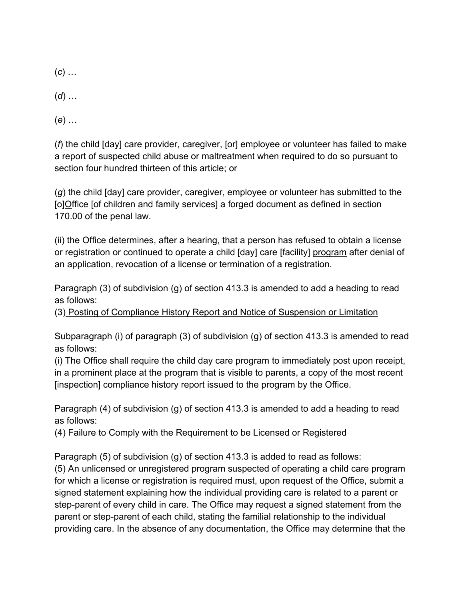- (*c*) …
- (*d*) …
- (*e*) …

(*f*) the child [day] care provider, caregiver, [or] employee or volunteer has failed to make a report of suspected child abuse or maltreatment when required to do so pursuant to section four hundred thirteen of this article; or

(*g*) the child [day] care provider, caregiver, employee or volunteer has submitted to the [o]Office [of children and family services] a forged document as defined in section 170.00 of the penal law.

(ii) the Office determines, after a hearing, that a person has refused to obtain a license or registration or continued to operate a child [day] care [facility] program after denial of an application, revocation of a license or termination of a registration.

Paragraph (3) of subdivision (g) of section 413.3 is amended to add a heading to read as follows:

(3) Posting of Compliance History Report and Notice of Suspension or Limitation

Subparagraph (i) of paragraph (3) of subdivision (g) of section 413.3 is amended to read as follows:

(i) The Office shall require the child day care program to immediately post upon receipt, in a prominent place at the program that is visible to parents, a copy of the most recent [inspection] compliance history report issued to the program by the Office.

Paragraph (4) of subdivision (g) of section 413.3 is amended to add a heading to read as follows:

(4) Failure to Comply with the Requirement to be Licensed or Registered

Paragraph (5) of subdivision (g) of section 413.3 is added to read as follows:

(5) An unlicensed or unregistered program suspected of operating a child care program for which a license or registration is required must, upon request of the Office, submit a signed statement explaining how the individual providing care is related to a parent or step-parent of every child in care. The Office may request a signed statement from the parent or step-parent of each child, stating the familial relationship to the individual providing care. In the absence of any documentation, the Office may determine that the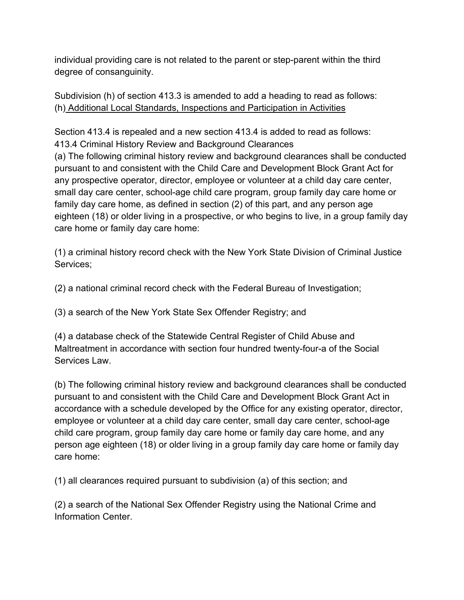individual providing care is not related to the parent or step-parent within the third degree of consanguinity.

Subdivision (h) of section 413.3 is amended to add a heading to read as follows: (h) Additional Local Standards, Inspections and Participation in Activities

Section 413.4 is repealed and a new section 413.4 is added to read as follows: 413.4 Criminal History Review and Background Clearances

(a) The following criminal history review and background clearances shall be conducted pursuant to and consistent with the Child Care and Development Block Grant Act for any prospective operator, director, employee or volunteer at a child day care center, small day care center, school-age child care program, group family day care home or family day care home, as defined in section (2) of this part, and any person age eighteen (18) or older living in a prospective, or who begins to live, in a group family day care home or family day care home:

(1) a criminal history record check with the New York State Division of Criminal Justice Services;

(2) a national criminal record check with the Federal Bureau of Investigation;

(3) a search of the New York State Sex Offender Registry; and

(4) a database check of the Statewide Central Register of Child Abuse and Maltreatment in accordance with section four hundred twenty-four-a of the Social Services Law.

(b) The following criminal history review and background clearances shall be conducted pursuant to and consistent with the Child Care and Development Block Grant Act in accordance with a schedule developed by the Office for any existing operator, director, employee or volunteer at a child day care center, small day care center, school-age child care program, group family day care home or family day care home, and any person age eighteen (18) or older living in a group family day care home or family day care home:

(1) all clearances required pursuant to subdivision (a) of this section; and

(2) a search of the National Sex Offender Registry using the National Crime and Information Center.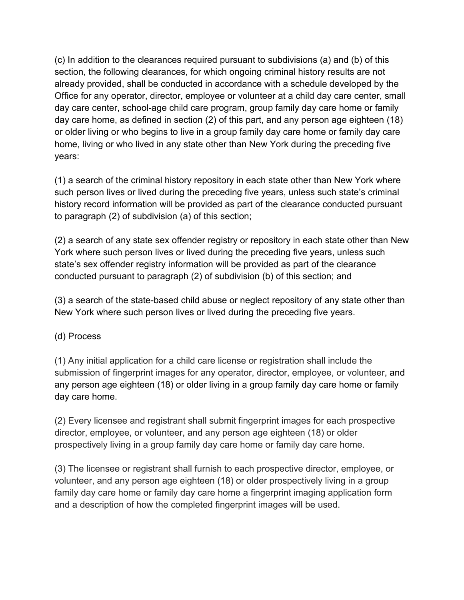(c) In addition to the clearances required pursuant to subdivisions (a) and (b) of this section, the following clearances, for which ongoing criminal history results are not already provided, shall be conducted in accordance with a schedule developed by the Office for any operator, director, employee or volunteer at a child day care center, small day care center, school-age child care program, group family day care home or family day care home, as defined in section (2) of this part, and any person age eighteen (18) or older living or who begins to live in a group family day care home or family day care home, living or who lived in any state other than New York during the preceding five years:

(1) a search of the criminal history repository in each state other than New York where such person lives or lived during the preceding five years, unless such state's criminal history record information will be provided as part of the clearance conducted pursuant to paragraph (2) of subdivision (a) of this section;

(2) a search of any state sex offender registry or repository in each state other than New York where such person lives or lived during the preceding five years, unless such state's sex offender registry information will be provided as part of the clearance conducted pursuant to paragraph (2) of subdivision (b) of this section; and

(3) a search of the state-based child abuse or neglect repository of any state other than New York where such person lives or lived during the preceding five years.

## (d) Process

(1) Any initial application for a child care license or registration shall include the submission of fingerprint images for any operator, director, employee, or volunteer, and any person age eighteen (18) or older living in a group family day care home or family day care home.

(2) Every licensee and registrant shall submit fingerprint images for each prospective director, employee, or volunteer, and any person age eighteen (18) or older prospectively living in a group family day care home or family day care home.

(3) The licensee or registrant shall furnish to each prospective director, employee, or volunteer, and any person age eighteen (18) or older prospectively living in a group family day care home or family day care home a fingerprint imaging application form and a description of how the completed fingerprint images will be used.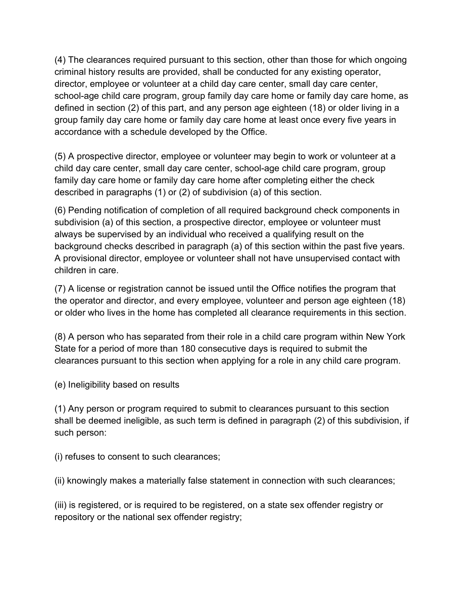(4) The clearances required pursuant to this section, other than those for which ongoing criminal history results are provided, shall be conducted for any existing operator, director, employee or volunteer at a child day care center, small day care center, school-age child care program, group family day care home or family day care home, as defined in section (2) of this part, and any person age eighteen (18) or older living in a group family day care home or family day care home at least once every five years in accordance with a schedule developed by the Office.

(5) A prospective director, employee or volunteer may begin to work or volunteer at a child day care center, small day care center, school-age child care program, group family day care home or family day care home after completing either the check described in paragraphs (1) or (2) of subdivision (a) of this section.

(6) Pending notification of completion of all required background check components in subdivision (a) of this section, a prospective director, employee or volunteer must always be supervised by an individual who received a qualifying result on the background checks described in paragraph (a) of this section within the past five years. A provisional director, employee or volunteer shall not have unsupervised contact with children in care.

(7) A license or registration cannot be issued until the Office notifies the program that the operator and director, and every employee, volunteer and person age eighteen (18) or older who lives in the home has completed all clearance requirements in this section.

(8) A person who has separated from their role in a child care program within New York State for a period of more than 180 consecutive days is required to submit the clearances pursuant to this section when applying for a role in any child care program.

(e) Ineligibility based on results

(1) Any person or program required to submit to clearances pursuant to this section shall be deemed ineligible, as such term is defined in paragraph (2) of this subdivision, if such person:

(i) refuses to consent to such clearances;

(ii) knowingly makes a materially false statement in connection with such clearances;

(iii) is registered, or is required to be registered, on a state sex offender registry or repository or the national sex offender registry;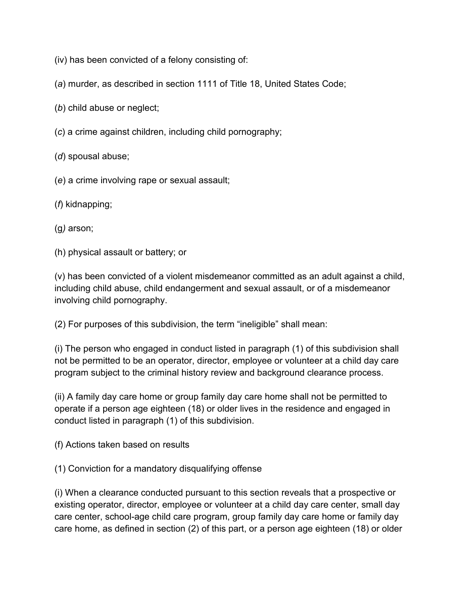- (iv) has been convicted of a felony consisting of:
- (*a*) murder, as described in section 1111 of Title 18, United States Code;
- (*b*) child abuse or neglect;
- (*c*) a crime against children, including child pornography;
- (*d*) spousal abuse;
- (*e*) a crime involving rape or sexual assault;

## (*f*) kidnapping;

(g*)* arson;

(h) physical assault or battery; or

(v) has been convicted of a violent misdemeanor committed as an adult against a child, including child abuse, child endangerment and sexual assault, or of a misdemeanor involving child pornography.

(2) For purposes of this subdivision, the term "ineligible" shall mean:

(i) The person who engaged in conduct listed in paragraph (1) of this subdivision shall not be permitted to be an operator, director, employee or volunteer at a child day care program subject to the criminal history review and background clearance process.

(ii) A family day care home or group family day care home shall not be permitted to operate if a person age eighteen (18) or older lives in the residence and engaged in conduct listed in paragraph (1) of this subdivision.

(f) Actions taken based on results

(1) Conviction for a mandatory disqualifying offense

(i) When a clearance conducted pursuant to this section reveals that a prospective or existing operator, director, employee or volunteer at a child day care center, small day care center, school-age child care program, group family day care home or family day care home, as defined in section (2) of this part, or a person age eighteen (18) or older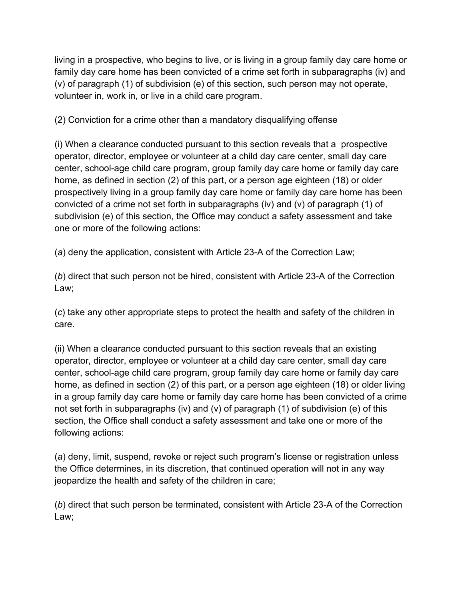living in a prospective, who begins to live, or is living in a group family day care home or family day care home has been convicted of a crime set forth in subparagraphs (iv) and (v) of paragraph (1) of subdivision (e) of this section, such person may not operate, volunteer in, work in, or live in a child care program.

(2) Conviction for a crime other than a mandatory disqualifying offense

(i) When a clearance conducted pursuant to this section reveals that a prospective operator, director, employee or volunteer at a child day care center, small day care center, school-age child care program, group family day care home or family day care home, as defined in section (2) of this part, or a person age eighteen (18) or older prospectively living in a group family day care home or family day care home has been convicted of a crime not set forth in subparagraphs (iv) and (v) of paragraph (1) of subdivision (e) of this section, the Office may conduct a safety assessment and take one or more of the following actions:

(*a*) deny the application, consistent with Article 23-A of the Correction Law;

(*b*) direct that such person not be hired, consistent with Article 23-A of the Correction Law;

(*c*) take any other appropriate steps to protect the health and safety of the children in care.

(ii) When a clearance conducted pursuant to this section reveals that an existing operator, director, employee or volunteer at a child day care center, small day care center, school-age child care program, group family day care home or family day care home, as defined in section (2) of this part, or a person age eighteen (18) or older living in a group family day care home or family day care home has been convicted of a crime not set forth in subparagraphs (iv) and (v) of paragraph (1) of subdivision (e) of this section, the Office shall conduct a safety assessment and take one or more of the following actions:

(*a*) deny, limit, suspend, revoke or reject such program's license or registration unless the Office determines, in its discretion, that continued operation will not in any way jeopardize the health and safety of the children in care;

(*b*) direct that such person be terminated, consistent with Article 23-A of the Correction Law;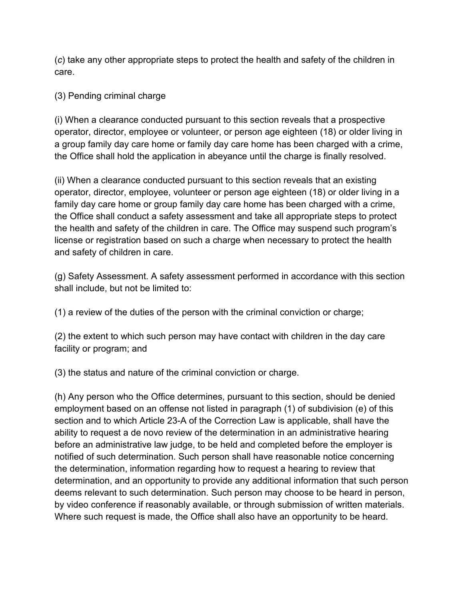(*c*) take any other appropriate steps to protect the health and safety of the children in care.

(3) Pending criminal charge

(i) When a clearance conducted pursuant to this section reveals that a prospective operator, director, employee or volunteer, or person age eighteen (18) or older living in a group family day care home or family day care home has been charged with a crime, the Office shall hold the application in abeyance until the charge is finally resolved.

(ii) When a clearance conducted pursuant to this section reveals that an existing operator, director, employee, volunteer or person age eighteen (18) or older living in a family day care home or group family day care home has been charged with a crime, the Office shall conduct a safety assessment and take all appropriate steps to protect the health and safety of the children in care. The Office may suspend such program's license or registration based on such a charge when necessary to protect the health and safety of children in care.

(g) Safety Assessment. A safety assessment performed in accordance with this section shall include, but not be limited to:

(1) a review of the duties of the person with the criminal conviction or charge;

(2) the extent to which such person may have contact with children in the day care facility or program; and

(3) the status and nature of the criminal conviction or charge.

(h) Any person who the Office determines, pursuant to this section, should be denied employment based on an offense not listed in paragraph (1) of subdivision (e) of this section and to which Article 23-A of the Correction Law is applicable, shall have the ability to request a de novo review of the determination in an administrative hearing before an administrative law judge, to be held and completed before the employer is notified of such determination. Such person shall have reasonable notice concerning the determination, information regarding how to request a hearing to review that determination, and an opportunity to provide any additional information that such person deems relevant to such determination. Such person may choose to be heard in person, by video conference if reasonably available, or through submission of written materials. Where such request is made, the Office shall also have an opportunity to be heard.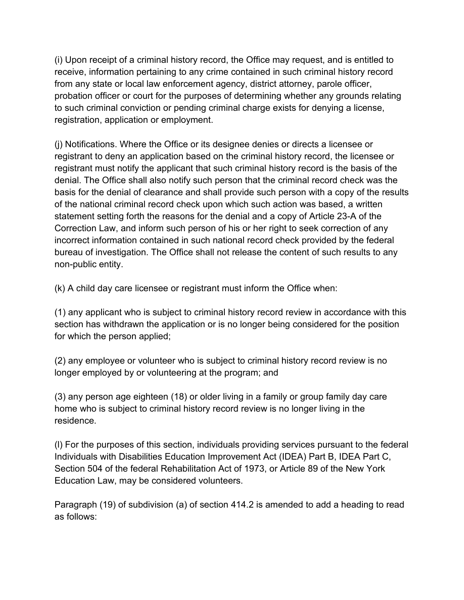(i) Upon receipt of a criminal history record, the Office may request, and is entitled to receive, information pertaining to any crime contained in such criminal history record from any state or local law enforcement agency, district attorney, parole officer, probation officer or court for the purposes of determining whether any grounds relating to such criminal conviction or pending criminal charge exists for denying a license, registration, application or employment.

(j) Notifications. Where the Office or its designee denies or directs a licensee or registrant to deny an application based on the criminal history record, the licensee or registrant must notify the applicant that such criminal history record is the basis of the denial. The Office shall also notify such person that the criminal record check was the basis for the denial of clearance and shall provide such person with a copy of the results of the national criminal record check upon which such action was based, a written statement setting forth the reasons for the denial and a copy of Article 23-A of the Correction Law, and inform such person of his or her right to seek correction of any incorrect information contained in such national record check provided by the federal bureau of investigation. The Office shall not release the content of such results to any non-public entity.

(k) A child day care licensee or registrant must inform the Office when:

(1) any applicant who is subject to criminal history record review in accordance with this section has withdrawn the application or is no longer being considered for the position for which the person applied;

(2) any employee or volunteer who is subject to criminal history record review is no longer employed by or volunteering at the program; and

(3) any person age eighteen (18) or older living in a family or group family day care home who is subject to criminal history record review is no longer living in the residence.

(l) For the purposes of this section, individuals providing services pursuant to the federal Individuals with Disabilities Education Improvement Act (IDEA) Part B, IDEA Part C, Section 504 of the federal Rehabilitation Act of 1973, or Article 89 of the New York Education Law, may be considered volunteers.

Paragraph (19) of subdivision (a) of section 414.2 is amended to add a heading to read as follows: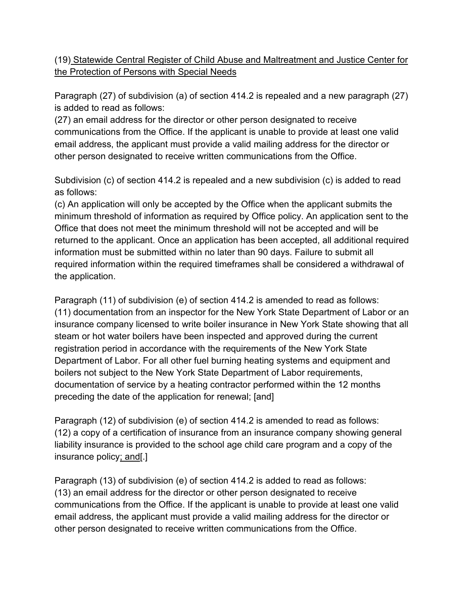## (19) Statewide Central Register of Child Abuse and Maltreatment and Justice Center for the Protection of Persons with Special Needs

Paragraph (27) of subdivision (a) of section 414.2 is repealed and a new paragraph (27) is added to read as follows:

(27) an email address for the director or other person designated to receive communications from the Office. If the applicant is unable to provide at least one valid email address, the applicant must provide a valid mailing address for the director or other person designated to receive written communications from the Office.

Subdivision (c) of section 414.2 is repealed and a new subdivision (c) is added to read as follows:

(c) An application will only be accepted by the Office when the applicant submits the minimum threshold of information as required by Office policy. An application sent to the Office that does not meet the minimum threshold will not be accepted and will be returned to the applicant. Once an application has been accepted, all additional required information must be submitted within no later than 90 days. Failure to submit all required information within the required timeframes shall be considered a withdrawal of the application.

Paragraph (11) of subdivision (e) of section 414.2 is amended to read as follows: (11) documentation from an inspector for the New York State Department of Labor or an insurance company licensed to write boiler insurance in New York State showing that all steam or hot water boilers have been inspected and approved during the current registration period in accordance with the requirements of the New York State Department of Labor. For all other fuel burning heating systems and equipment and boilers not subject to the New York State Department of Labor requirements, documentation of service by a heating contractor performed within the 12 months preceding the date of the application for renewal; [and]

Paragraph (12) of subdivision (e) of section 414.2 is amended to read as follows: (12) a copy of a certification of insurance from an insurance company showing general liability insurance is provided to the school age child care program and a copy of the insurance policy; and[.]

Paragraph (13) of subdivision (e) of section 414.2 is added to read as follows: (13) an email address for the director or other person designated to receive communications from the Office. If the applicant is unable to provide at least one valid email address, the applicant must provide a valid mailing address for the director or other person designated to receive written communications from the Office.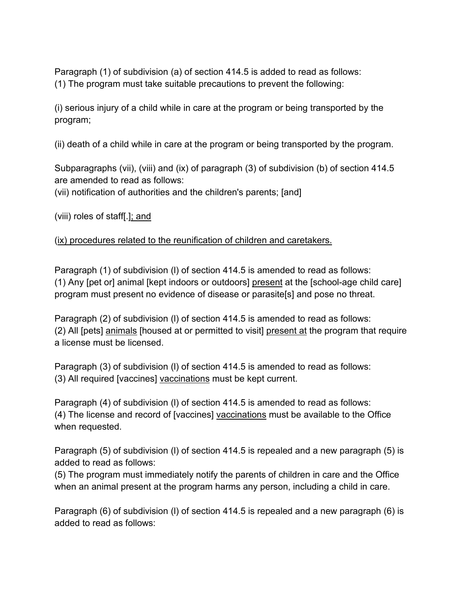Paragraph (1) of subdivision (a) of section 414.5 is added to read as follows: (1) The program must take suitable precautions to prevent the following:

(i) serious injury of a child while in care at the program or being transported by the program;

(ii) death of a child while in care at the program or being transported by the program.

Subparagraphs (vii), (viii) and (ix) of paragraph (3) of subdivision (b) of section 414.5 are amended to read as follows:

(vii) notification of authorities and the children's parents; [and]

(viii) roles of staff[.]; and

(ix) procedures related to the reunification of children and caretakers.

Paragraph (1) of subdivision (I) of section 414.5 is amended to read as follows: (1) Any [pet or] animal [kept indoors or outdoors] present at the [school-age child care] program must present no evidence of disease or parasite[s] and pose no threat.

Paragraph (2) of subdivision (l) of section 414.5 is amended to read as follows: (2) All [pets] animals [housed at or permitted to visit] present at the program that require a license must be licensed.

Paragraph (3) of subdivision (I) of section 414.5 is amended to read as follows: (3) All required [vaccines] vaccinations must be kept current.

Paragraph (4) of subdivision (l) of section 414.5 is amended to read as follows: (4) The license and record of [vaccines] vaccinations must be available to the Office when requested.

Paragraph (5) of subdivision (l) of section 414.5 is repealed and a new paragraph (5) is added to read as follows:

(5) The program must immediately notify the parents of children in care and the Office when an animal present at the program harms any person, including a child in care.

Paragraph (6) of subdivision (l) of section 414.5 is repealed and a new paragraph (6) is added to read as follows: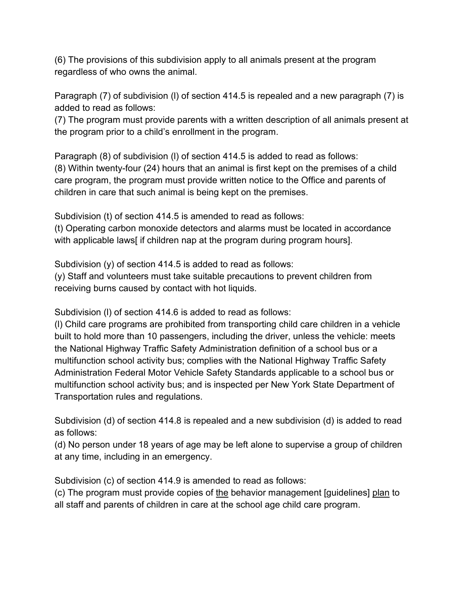(6) The provisions of this subdivision apply to all animals present at the program regardless of who owns the animal.

Paragraph (7) of subdivision (l) of section 414.5 is repealed and a new paragraph (7) is added to read as follows:

(7) The program must provide parents with a written description of all animals present at the program prior to a child's enrollment in the program.

Paragraph (8) of subdivision (l) of section 414.5 is added to read as follows: (8) Within twenty-four (24) hours that an animal is first kept on the premises of a child care program, the program must provide written notice to the Office and parents of children in care that such animal is being kept on the premises.

Subdivision (t) of section 414.5 is amended to read as follows: (t) Operating carbon monoxide detectors and alarms must be located in accordance with applicable laws if children nap at the program during program hours].

Subdivision (y) of section 414.5 is added to read as follows:

(y) Staff and volunteers must take suitable precautions to prevent children from receiving burns caused by contact with hot liquids.

Subdivision (l) of section 414.6 is added to read as follows:

(l) Child care programs are prohibited from transporting child care children in a vehicle built to hold more than 10 passengers, including the driver, unless the vehicle: meets the National Highway Traffic Safety Administration definition of a school bus or a multifunction school activity bus; complies with the National Highway Traffic Safety Administration Federal Motor Vehicle Safety Standards applicable to a school bus or multifunction school activity bus; and is inspected per New York State Department of Transportation rules and regulations.

Subdivision (d) of section 414.8 is repealed and a new subdivision (d) is added to read as follows:

(d) No person under 18 years of age may be left alone to supervise a group of children at any time, including in an emergency.

Subdivision (c) of section 414.9 is amended to read as follows:

(c) The program must provide copies of the behavior management [guidelines] plan to all staff and parents of children in care at the school age child care program.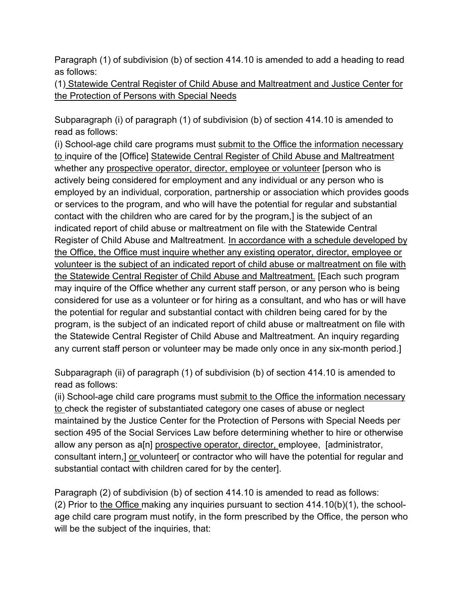Paragraph (1) of subdivision (b) of section 414.10 is amended to add a heading to read as follows:

(1) Statewide Central Register of Child Abuse and Maltreatment and Justice Center for the Protection of Persons with Special Needs

Subparagraph (i) of paragraph (1) of subdivision (b) of section 414.10 is amended to read as follows:

(i) School-age child care programs must submit to the Office the information necessary to inquire of the [Office] Statewide Central Register of Child Abuse and Maltreatment whether any prospective operator, director, employee or volunteer [person who is actively being considered for employment and any individual or any person who is employed by an individual, corporation, partnership or association which provides goods or services to the program, and who will have the potential for regular and substantial contact with the children who are cared for by the program,] is the subject of an indicated report of child abuse or maltreatment on file with the Statewide Central Register of Child Abuse and Maltreatment. In accordance with a schedule developed by the Office, the Office must inquire whether any existing operator, director, employee or volunteer is the subject of an indicated report of child abuse or maltreatment on file with the Statewide Central Register of Child Abuse and Maltreatment. [Each such program may inquire of the Office whether any current staff person, or any person who is being considered for use as a volunteer or for hiring as a consultant, and who has or will have the potential for regular and substantial contact with children being cared for by the program, is the subject of an indicated report of child abuse or maltreatment on file with the Statewide Central Register of Child Abuse and Maltreatment. An inquiry regarding any current staff person or volunteer may be made only once in any six-month period.]

Subparagraph (ii) of paragraph (1) of subdivision (b) of section 414.10 is amended to read as follows:

(ii) School-age child care programs must submit to the Office the information necessary to check the register of substantiated category one cases of abuse or neglect maintained by the Justice Center for the Protection of Persons with Special Needs per section 495 of the Social Services Law before determining whether to hire or otherwise allow any person as a<sup>[n]</sup> prospective operator, director, employee, [administrator, consultant intern,] or volunteer[ or contractor who will have the potential for regular and substantial contact with children cared for by the center].

Paragraph (2) of subdivision (b) of section 414.10 is amended to read as follows: (2) Prior to the Office making any inquiries pursuant to section 414.10(b)(1), the schoolage child care program must notify, in the form prescribed by the Office, the person who will be the subject of the inquiries, that: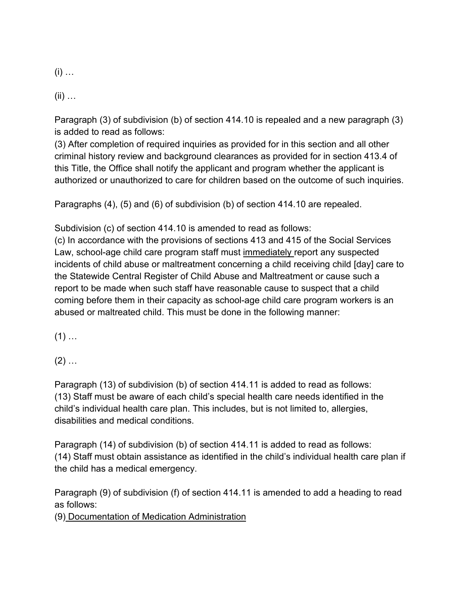$(i)$  …

 $(ii)$  ...

Paragraph (3) of subdivision (b) of section 414.10 is repealed and a new paragraph (3) is added to read as follows:

(3) After completion of required inquiries as provided for in this section and all other criminal history review and background clearances as provided for in section 413.4 of this Title, the Office shall notify the applicant and program whether the applicant is authorized or unauthorized to care for children based on the outcome of such inquiries.

Paragraphs (4), (5) and (6) of subdivision (b) of section 414.10 are repealed.

Subdivision (c) of section 414.10 is amended to read as follows:

(c) In accordance with the provisions of sections 413 and 415 of the Social Services Law, school-age child care program staff must immediately report any suspected incidents of child abuse or maltreatment concerning a child receiving child [day] care to the Statewide Central Register of Child Abuse and Maltreatment or cause such a report to be made when such staff have reasonable cause to suspect that a child coming before them in their capacity as school-age child care program workers is an abused or maltreated child. This must be done in the following manner:

 $(1)$  ...

 $(2)$  ...

Paragraph (13) of subdivision (b) of section 414.11 is added to read as follows: (13) Staff must be aware of each child's special health care needs identified in the child's individual health care plan. This includes, but is not limited to, allergies, disabilities and medical conditions.

Paragraph (14) of subdivision (b) of section 414.11 is added to read as follows: (14) Staff must obtain assistance as identified in the child's individual health care plan if the child has a medical emergency.

Paragraph (9) of subdivision (f) of section 414.11 is amended to add a heading to read as follows:

(9) Documentation of Medication Administration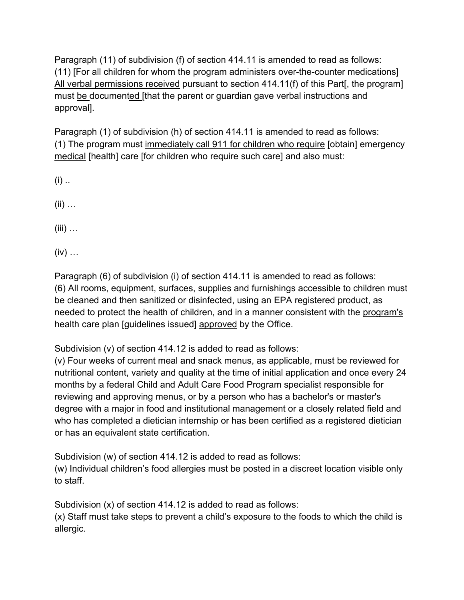Paragraph (11) of subdivision (f) of section 414.11 is amended to read as follows: (11) [For all children for whom the program administers over-the-counter medications] All verbal permissions received pursuant to section 414.11(f) of this Part[, the program] must be documented [that the parent or guardian gave verbal instructions and approval].

Paragraph (1) of subdivision (h) of section 414.11 is amended to read as follows: (1) The program must immediately call 911 for children who require [obtain] emergency medical [health] care [for children who require such care] and also must:

- $(i)$  ..
- $(ii)$  ...
- $(iii)$  ...
- $(iv)$  ...

Paragraph (6) of subdivision (i) of section 414.11 is amended to read as follows: (6) All rooms, equipment, surfaces, supplies and furnishings accessible to children must be cleaned and then sanitized or disinfected, using an EPA registered product, as needed to protect the health of children, and in a manner consistent with the program's health care plan [guidelines issued] approved by the Office.

Subdivision (v) of section 414.12 is added to read as follows:

(v) Four weeks of current meal and snack menus, as applicable, must be reviewed for nutritional content, variety and quality at the time of initial application and once every 24 months by a federal Child and Adult Care Food Program specialist responsible for reviewing and approving menus, or by a person who has a bachelor's or master's degree with a major in food and institutional management or a closely related field and who has completed a dietician internship or has been certified as a registered dietician or has an equivalent state certification.

Subdivision (w) of section 414.12 is added to read as follows: (w) Individual children's food allergies must be posted in a discreet location visible only to staff.

Subdivision (x) of section 414.12 is added to read as follows:

(x) Staff must take steps to prevent a child's exposure to the foods to which the child is allergic.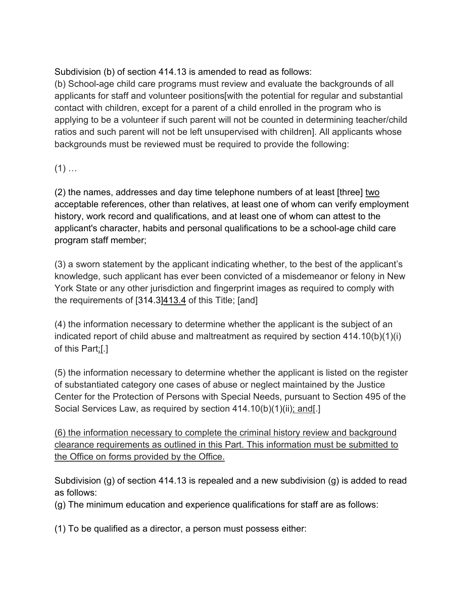Subdivision (b) of section 414.13 is amended to read as follows:

(b) School-age child care programs must review and evaluate the backgrounds of all applicants for staff and volunteer positions[with the potential for regular and substantial contact with children, except for a parent of a child enrolled in the program who is applying to be a volunteer if such parent will not be counted in determining teacher/child ratios and such parent will not be left unsupervised with children]. All applicants whose backgrounds must be reviewed must be required to provide the following:

# $(1)$  ...

(2) the names, addresses and day time telephone numbers of at least [three] two acceptable references, other than relatives, at least one of whom can verify employment history, work record and qualifications, and at least one of whom can attest to the applicant's character, habits and personal qualifications to be a school-age child care program staff member;

(3) a sworn statement by the applicant indicating whether, to the best of the applicant's knowledge, such applicant has ever been convicted of a misdemeanor or felony in New York State or any other jurisdiction and fingerprint images as required to comply with the requirements of  $[314.3]413.4$  of this Title;  $[and]$ 

(4) the information necessary to determine whether the applicant is the subject of an indicated report of child abuse and maltreatment as required by section  $414.10(b)(1)(i)$ of this Part;[.]

(5) the information necessary to determine whether the applicant is listed on the register of substantiated category one cases of abuse or neglect maintained by the Justice Center for the Protection of Persons with Special Needs, pursuant to Section 495 of the Social Services Law, as required by section 414.10(b)(1)(ii); and[.]

(6) the information necessary to complete the criminal history review and background clearance requirements as outlined in this Part. This information must be submitted to the Office on forms provided by the Office.

Subdivision (g) of section 414.13 is repealed and a new subdivision (g) is added to read as follows:

(g) The minimum education and experience qualifications for staff are as follows:

(1) To be qualified as a director, a person must possess either: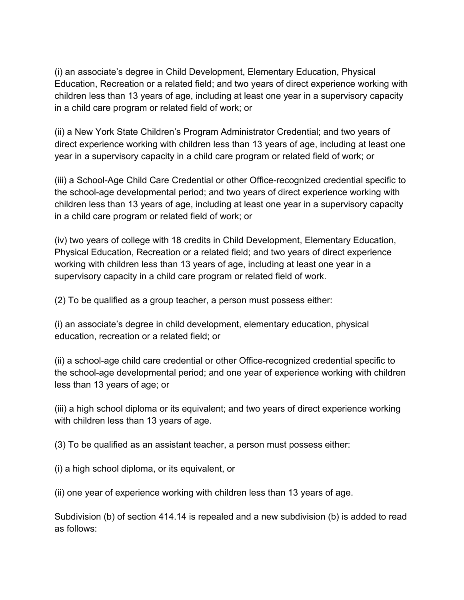(i) an associate's degree in Child Development, Elementary Education, Physical Education, Recreation or a related field; and two years of direct experience working with children less than 13 years of age, including at least one year in a supervisory capacity in a child care program or related field of work; or

(ii) a New York State Children's Program Administrator Credential; and two years of direct experience working with children less than 13 years of age, including at least one year in a supervisory capacity in a child care program or related field of work; or

(iii) a School-Age Child Care Credential or other Office-recognized credential specific to the school-age developmental period; and two years of direct experience working with children less than 13 years of age, including at least one year in a supervisory capacity in a child care program or related field of work; or

(iv) two years of college with 18 credits in Child Development, Elementary Education, Physical Education, Recreation or a related field; and two years of direct experience working with children less than 13 years of age, including at least one year in a supervisory capacity in a child care program or related field of work.

(2) To be qualified as a group teacher, a person must possess either:

(i) an associate's degree in child development, elementary education, physical education, recreation or a related field; or

(ii) a school-age child care credential or other Office-recognized credential specific to the school-age developmental period; and one year of experience working with children less than 13 years of age; or

(iii) a high school diploma or its equivalent; and two years of direct experience working with children less than 13 years of age.

(3) To be qualified as an assistant teacher, a person must possess either:

(i) a high school diploma, or its equivalent, or

(ii) one year of experience working with children less than 13 years of age.

Subdivision (b) of section 414.14 is repealed and a new subdivision (b) is added to read as follows: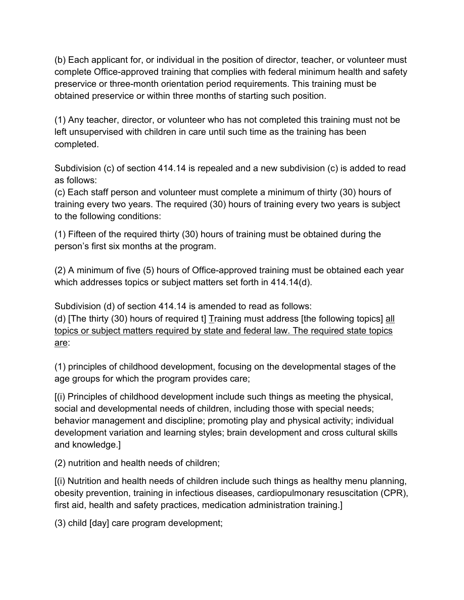(b) Each applicant for, or individual in the position of director, teacher, or volunteer must complete Office-approved training that complies with federal minimum health and safety preservice or three-month orientation period requirements. This training must be obtained preservice or within three months of starting such position.

(1) Any teacher, director, or volunteer who has not completed this training must not be left unsupervised with children in care until such time as the training has been completed.

Subdivision (c) of section 414.14 is repealed and a new subdivision (c) is added to read as follows:

(c) Each staff person and volunteer must complete a minimum of thirty (30) hours of training every two years. The required (30) hours of training every two years is subject to the following conditions:

(1) Fifteen of the required thirty (30) hours of training must be obtained during the person's first six months at the program.

(2) A minimum of five (5) hours of Office-approved training must be obtained each year which addresses topics or subject matters set forth in 414.14(d).

Subdivision (d) of section 414.14 is amended to read as follows: (d) [The thirty (30) hours of required t] Training must address [the following topics] all topics or subject matters required by state and federal law. The required state topics are:

(1) principles of childhood development, focusing on the developmental stages of the age groups for which the program provides care;

[(i) Principles of childhood development include such things as meeting the physical, social and developmental needs of children, including those with special needs; behavior management and discipline; promoting play and physical activity; individual development variation and learning styles; brain development and cross cultural skills and knowledge.]

(2) nutrition and health needs of children;

[(i) Nutrition and health needs of children include such things as healthy menu planning, obesity prevention, training in infectious diseases, cardiopulmonary resuscitation (CPR), first aid, health and safety practices, medication administration training.]

(3) child [day] care program development;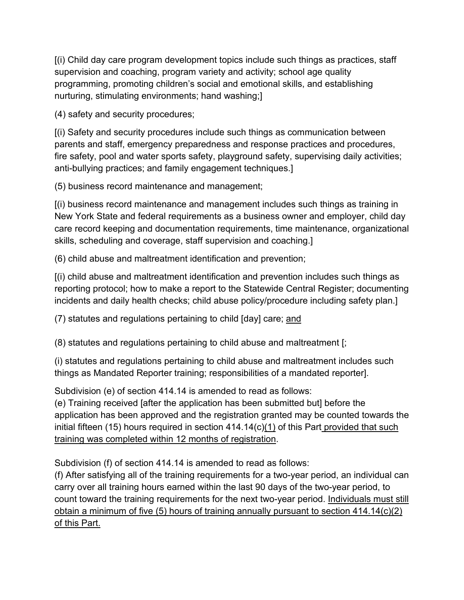[(i) Child day care program development topics include such things as practices, staff supervision and coaching, program variety and activity; school age quality programming, promoting children's social and emotional skills, and establishing nurturing, stimulating environments; hand washing;]

(4) safety and security procedures;

[(i) Safety and security procedures include such things as communication between parents and staff, emergency preparedness and response practices and procedures, fire safety, pool and water sports safety, playground safety, supervising daily activities; anti-bullying practices; and family engagement techniques.]

(5) business record maintenance and management;

[(i) business record maintenance and management includes such things as training in New York State and federal requirements as a business owner and employer, child day care record keeping and documentation requirements, time maintenance, organizational skills, scheduling and coverage, staff supervision and coaching.]

(6) child abuse and maltreatment identification and prevention;

[(i) child abuse and maltreatment identification and prevention includes such things as reporting protocol; how to make a report to the Statewide Central Register; documenting incidents and daily health checks; child abuse policy/procedure including safety plan.]

(7) statutes and regulations pertaining to child [day] care; and

(8) statutes and regulations pertaining to child abuse and maltreatment [;

(i) statutes and regulations pertaining to child abuse and maltreatment includes such things as Mandated Reporter training; responsibilities of a mandated reporter].

Subdivision (e) of section 414.14 is amended to read as follows:

(e) Training received [after the application has been submitted but] before the application has been approved and the registration granted may be counted towards the initial fifteen (15) hours required in section 414.14(c)(1) of this Part provided that such training was completed within 12 months of registration.

Subdivision (f) of section 414.14 is amended to read as follows:

(f) After satisfying all of the training requirements for a two-year period, an individual can carry over all training hours earned within the last 90 days of the two-year period, to count toward the training requirements for the next two-year period. Individuals must still obtain a minimum of five (5) hours of training annually pursuant to section  $414.14(c)(2)$ of this Part.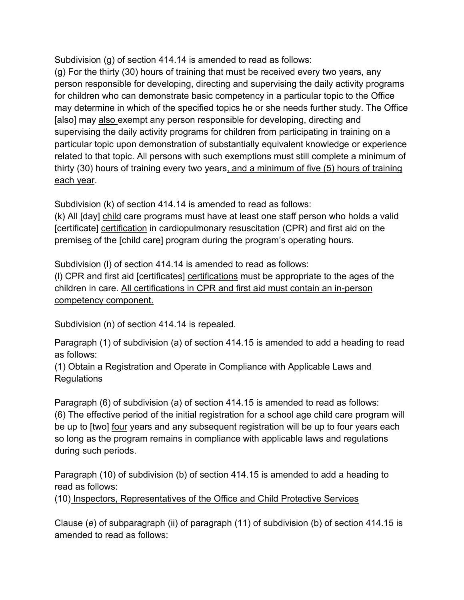Subdivision (g) of section 414.14 is amended to read as follows:

(g) For the thirty (30) hours of training that must be received every two years, any person responsible for developing, directing and supervising the daily activity programs for children who can demonstrate basic competency in a particular topic to the Office may determine in which of the specified topics he or she needs further study. The Office [also] may also exempt any person responsible for developing, directing and supervising the daily activity programs for children from participating in training on a particular topic upon demonstration of substantially equivalent knowledge or experience related to that topic. All persons with such exemptions must still complete a minimum of thirty (30) hours of training every two years, and a minimum of five (5) hours of training each year.

Subdivision (k) of section 414.14 is amended to read as follows:

(k) All [day] child care programs must have at least one staff person who holds a valid [certificate] certification in cardiopulmonary resuscitation (CPR) and first aid on the premises of the [child care] program during the program's operating hours.

Subdivision (l) of section 414.14 is amended to read as follows:

(l) CPR and first aid [certificates] certifications must be appropriate to the ages of the children in care. All certifications in CPR and first aid must contain an in-person competency component.

Subdivision (n) of section 414.14 is repealed.

Paragraph (1) of subdivision (a) of section 414.15 is amended to add a heading to read as follows:

## (1) Obtain a Registration and Operate in Compliance with Applicable Laws and Regulations

Paragraph (6) of subdivision (a) of section 414.15 is amended to read as follows: (6) The effective period of the initial registration for a school age child care program will be up to [two] four years and any subsequent registration will be up to four years each so long as the program remains in compliance with applicable laws and regulations during such periods.

Paragraph (10) of subdivision (b) of section 414.15 is amended to add a heading to read as follows:

(10) Inspectors, Representatives of the Office and Child Protective Services

Clause (*e*) of subparagraph (ii) of paragraph (11) of subdivision (b) of section 414.15 is amended to read as follows: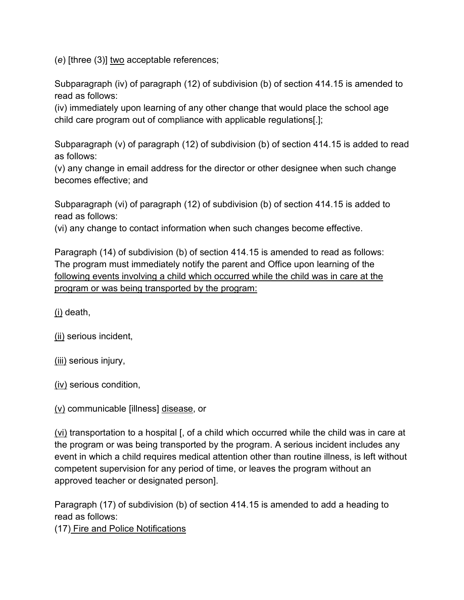(*e*) [three (3)] two acceptable references;

Subparagraph (iv) of paragraph (12) of subdivision (b) of section 414.15 is amended to read as follows:

(iv) immediately upon learning of any other change that would place the school age child care program out of compliance with applicable regulations[.];

Subparagraph (v) of paragraph (12) of subdivision (b) of section 414.15 is added to read as follows:

(v) any change in email address for the director or other designee when such change becomes effective; and

Subparagraph (vi) of paragraph (12) of subdivision (b) of section 414.15 is added to read as follows:

(vi) any change to contact information when such changes become effective.

Paragraph (14) of subdivision (b) of section 414.15 is amended to read as follows: The program must immediately notify the parent and Office upon learning of the following events involving a child which occurred while the child was in care at the program or was being transported by the program:

(i) death,

(ii) serious incident,

(iii) serious injury,

(iv) serious condition,

(v) communicable [illness] disease, or

(vi) transportation to a hospital [, of a child which occurred while the child was in care at the program or was being transported by the program. A serious incident includes any event in which a child requires medical attention other than routine illness, is left without competent supervision for any period of time, or leaves the program without an approved teacher or designated person].

Paragraph (17) of subdivision (b) of section 414.15 is amended to add a heading to read as follows:

(17) Fire and Police Notifications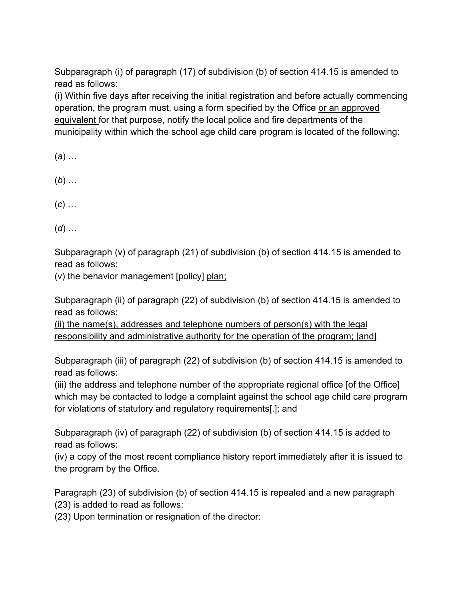Subparagraph (i) of paragraph (17) of subdivision (b) of section 414.15 is amended to read as follows:

(i) Within five days after receiving the initial registration and before actually commencing operation, the program must, using a form specified by the Office or an approved equivalent for that purpose, notify the local police and fire departments of the municipality within which the school age child care program is located of the following:

(*a*) …

- (*b*) …
- (*c*) …
- (*d*) …

Subparagraph (v) of paragraph (21) of subdivision (b) of section 414.15 is amended to read as follows:

(v) the behavior management [policy] plan;

Subparagraph (ii) of paragraph (22) of subdivision (b) of section 414.15 is amended to read as follows:

(ii) the name(s), addresses and telephone numbers of person(s) with the legal responsibility and administrative authority for the operation of the program; [and]

Subparagraph (iii) of paragraph (22) of subdivision (b) of section 414.15 is amended to read as follows:

(iii) the address and telephone number of the appropriate regional office [of the Office] which may be contacted to lodge a complaint against the school age child care program for violations of statutory and regulatory requirements[.]; and

Subparagraph (iv) of paragraph (22) of subdivision (b) of section 414.15 is added to read as follows:

(iv) a copy of the most recent compliance history report immediately after it is issued to the program by the Office.

Paragraph (23) of subdivision (b) of section 414.15 is repealed and a new paragraph (23) is added to read as follows:

(23) Upon termination or resignation of the director: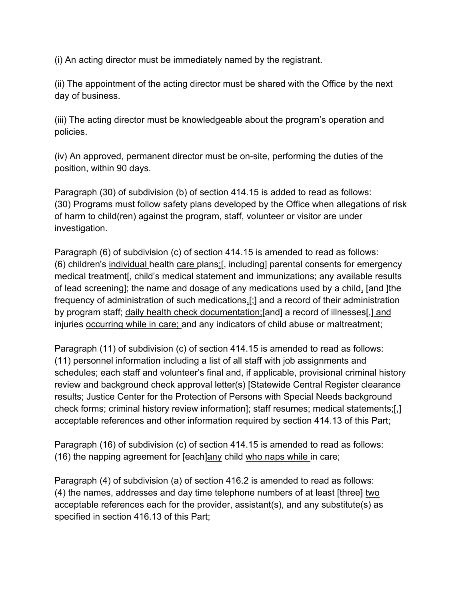(i) An acting director must be immediately named by the registrant.

(ii) The appointment of the acting director must be shared with the Office by the next day of business.

(iii) The acting director must be knowledgeable about the program's operation and policies.

(iv) An approved, permanent director must be on-site, performing the duties of the position, within 90 days.

Paragraph (30) of subdivision (b) of section 414.15 is added to read as follows: (30) Programs must follow safety plans developed by the Office when allegations of risk of harm to child(ren) against the program, staff, volunteer or visitor are under investigation.

Paragraph (6) of subdivision (c) of section 414.15 is amended to read as follows: (6) children's individual health care plans;[, including] parental consents for emergency medical treatment[, child's medical statement and immunizations; any available results of lead screening]; the name and dosage of any medications used by a child, [and ]the frequency of administration of such medications,[;] and a record of their administration by program staff; daily health check documentation;[and] a record of illnesses[,] and injuries occurring while in care; and any indicators of child abuse or maltreatment;

Paragraph (11) of subdivision (c) of section 414.15 is amended to read as follows: (11) personnel information including a list of all staff with job assignments and schedules; each staff and volunteer's final and, if applicable, provisional criminal history review and background check approval letter(s) [Statewide Central Register clearance results; Justice Center for the Protection of Persons with Special Needs background check forms; criminal history review information]; staff resumes; medical statements;[,] acceptable references and other information required by section 414.13 of this Part;

Paragraph (16) of subdivision (c) of section 414.15 is amended to read as follows: (16) the napping agreement for [each]any child who naps while in care;

Paragraph (4) of subdivision (a) of section 416.2 is amended to read as follows: (4) the names, addresses and day time telephone numbers of at least [three] two acceptable references each for the provider, assistant(s), and any substitute(s) as specified in section 416.13 of this Part;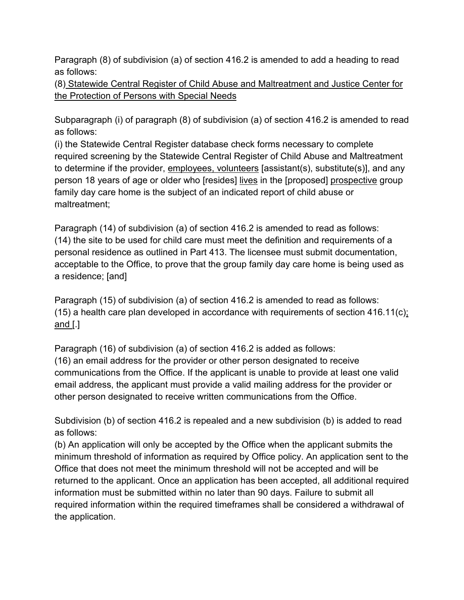Paragraph (8) of subdivision (a) of section 416.2 is amended to add a heading to read as follows:

(8) Statewide Central Register of Child Abuse and Maltreatment and Justice Center for the Protection of Persons with Special Needs

Subparagraph (i) of paragraph (8) of subdivision (a) of section 416.2 is amended to read as follows:

(i) the Statewide Central Register database check forms necessary to complete required screening by the Statewide Central Register of Child Abuse and Maltreatment to determine if the provider, employees, volunteers [assistant(s), substitute(s)], and any person 18 years of age or older who [resides] lives in the [proposed] prospective group family day care home is the subject of an indicated report of child abuse or maltreatment;

Paragraph (14) of subdivision (a) of section 416.2 is amended to read as follows: (14) the site to be used for child care must meet the definition and requirements of a personal residence as outlined in Part 413. The licensee must submit documentation, acceptable to the Office, to prove that the group family day care home is being used as a residence; [and]

Paragraph (15) of subdivision (a) of section 416.2 is amended to read as follows: (15) a health care plan developed in accordance with requirements of section 416.11(c); and [.]

Paragraph (16) of subdivision (a) of section 416.2 is added as follows: (16) an email address for the provider or other person designated to receive communications from the Office. If the applicant is unable to provide at least one valid email address, the applicant must provide a valid mailing address for the provider or other person designated to receive written communications from the Office.

Subdivision (b) of section 416.2 is repealed and a new subdivision (b) is added to read as follows:

(b) An application will only be accepted by the Office when the applicant submits the minimum threshold of information as required by Office policy. An application sent to the Office that does not meet the minimum threshold will not be accepted and will be returned to the applicant. Once an application has been accepted, all additional required information must be submitted within no later than 90 days. Failure to submit all required information within the required timeframes shall be considered a withdrawal of the application.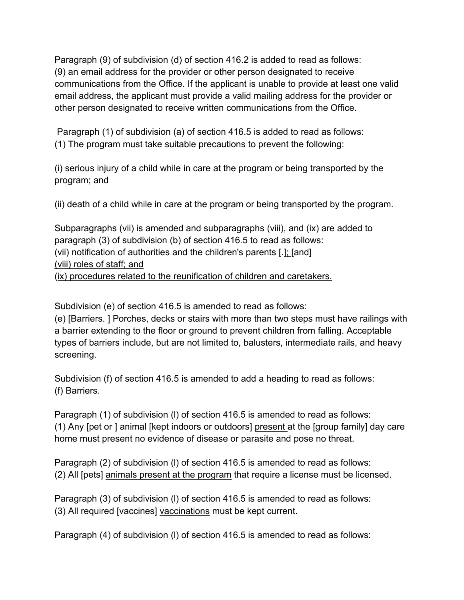Paragraph (9) of subdivision (d) of section 416.2 is added to read as follows: (9) an email address for the provider or other person designated to receive communications from the Office. If the applicant is unable to provide at least one valid email address, the applicant must provide a valid mailing address for the provider or other person designated to receive written communications from the Office.

Paragraph (1) of subdivision (a) of section 416.5 is added to read as follows: (1) The program must take suitable precautions to prevent the following:

(i) serious injury of a child while in care at the program or being transported by the program; and

(ii) death of a child while in care at the program or being transported by the program.

Subparagraphs (vii) is amended and subparagraphs (viii), and (ix) are added to paragraph (3) of subdivision (b) of section 416.5 to read as follows: (vii) notification of authorities and the children's parents [.]; [and] (viii) roles of staff; and (ix) procedures related to the reunification of children and caretakers.

Subdivision (e) of section 416.5 is amended to read as follows:

(e) [Barriers. ] Porches, decks or stairs with more than two steps must have railings with a barrier extending to the floor or ground to prevent children from falling. Acceptable types of barriers include, but are not limited to, balusters, intermediate rails, and heavy screening.

Subdivision (f) of section 416.5 is amended to add a heading to read as follows: (f) Barriers.

Paragraph (1) of subdivision (l) of section 416.5 is amended to read as follows: (1) Any [pet or ] animal [kept indoors or outdoors] present at the [group family] day care home must present no evidence of disease or parasite and pose no threat.

Paragraph (2) of subdivision (l) of section 416.5 is amended to read as follows: (2) All [pets] animals present at the program that require a license must be licensed.

Paragraph (3) of subdivision (l) of section 416.5 is amended to read as follows: (3) All required [vaccines] vaccinations must be kept current.

Paragraph (4) of subdivision (l) of section 416.5 is amended to read as follows: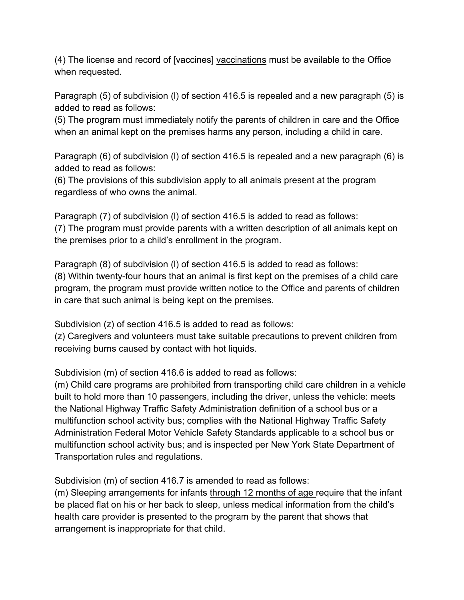(4) The license and record of [vaccines] vaccinations must be available to the Office when requested.

Paragraph (5) of subdivision (l) of section 416.5 is repealed and a new paragraph (5) is added to read as follows:

(5) The program must immediately notify the parents of children in care and the Office when an animal kept on the premises harms any person, including a child in care.

Paragraph (6) of subdivision (l) of section 416.5 is repealed and a new paragraph (6) is added to read as follows:

(6) The provisions of this subdivision apply to all animals present at the program regardless of who owns the animal.

Paragraph (7) of subdivision (l) of section 416.5 is added to read as follows: (7) The program must provide parents with a written description of all animals kept on the premises prior to a child's enrollment in the program.

Paragraph (8) of subdivision (l) of section 416.5 is added to read as follows: (8) Within twenty-four hours that an animal is first kept on the premises of a child care program, the program must provide written notice to the Office and parents of children in care that such animal is being kept on the premises.

Subdivision (z) of section 416.5 is added to read as follows:

(z) Caregivers and volunteers must take suitable precautions to prevent children from receiving burns caused by contact with hot liquids.

Subdivision (m) of section 416.6 is added to read as follows:

(m) Child care programs are prohibited from transporting child care children in a vehicle built to hold more than 10 passengers, including the driver, unless the vehicle: meets the National Highway Traffic Safety Administration definition of a school bus or a multifunction school activity bus; complies with the National Highway Traffic Safety Administration Federal Motor Vehicle Safety Standards applicable to a school bus or multifunction school activity bus; and is inspected per New York State Department of Transportation rules and regulations.

Subdivision (m) of section 416.7 is amended to read as follows:

(m) Sleeping arrangements for infants through 12 months of age require that the infant be placed flat on his or her back to sleep, unless medical information from the child's health care provider is presented to the program by the parent that shows that arrangement is inappropriate for that child.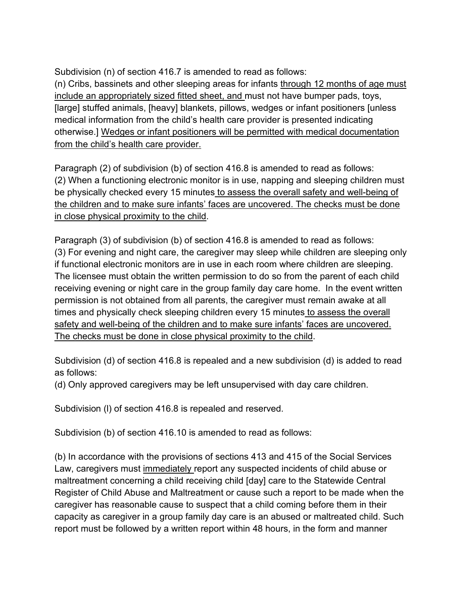Subdivision (n) of section 416.7 is amended to read as follows: (n) Cribs, bassinets and other sleeping areas for infants through 12 months of age must include an appropriately sized fitted sheet, and must not have bumper pads, toys, [large] stuffed animals, [heavy] blankets, pillows, wedges or infant positioners [unless medical information from the child's health care provider is presented indicating otherwise.] Wedges or infant positioners will be permitted with medical documentation from the child's health care provider.

Paragraph (2) of subdivision (b) of section 416.8 is amended to read as follows: (2) When a functioning electronic monitor is in use, napping and sleeping children must be physically checked every 15 minutes to assess the overall safety and well-being of the children and to make sure infants' faces are uncovered. The checks must be done in close physical proximity to the child.

Paragraph (3) of subdivision (b) of section 416.8 is amended to read as follows: (3) For evening and night care, the caregiver may sleep while children are sleeping only if functional electronic monitors are in use in each room where children are sleeping. The licensee must obtain the written permission to do so from the parent of each child receiving evening or night care in the group family day care home. In the event written permission is not obtained from all parents, the caregiver must remain awake at all times and physically check sleeping children every 15 minutes to assess the overall safety and well-being of the children and to make sure infants' faces are uncovered. The checks must be done in close physical proximity to the child.

Subdivision (d) of section 416.8 is repealed and a new subdivision (d) is added to read as follows:

(d) Only approved caregivers may be left unsupervised with day care children.

Subdivision (l) of section 416.8 is repealed and reserved.

Subdivision (b) of section 416.10 is amended to read as follows:

(b) In accordance with the provisions of sections 413 and 415 of the Social Services Law, caregivers must immediately report any suspected incidents of child abuse or maltreatment concerning a child receiving child [day] care to the Statewide Central Register of Child Abuse and Maltreatment or cause such a report to be made when the caregiver has reasonable cause to suspect that a child coming before them in their capacity as caregiver in a group family day care is an abused or maltreated child. Such report must be followed by a written report within 48 hours, in the form and manner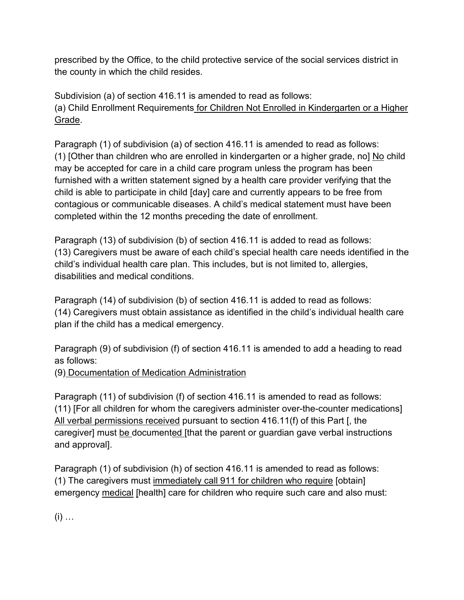prescribed by the Office, to the child protective service of the social services district in the county in which the child resides.

Subdivision (a) of section 416.11 is amended to read as follows: (a) Child Enrollment Requirements for Children Not Enrolled in Kindergarten or a Higher Grade.

Paragraph (1) of subdivision (a) of section 416.11 is amended to read as follows: (1) [Other than children who are enrolled in kindergarten or a higher grade, no] No child may be accepted for care in a child care program unless the program has been furnished with a written statement signed by a health care provider verifying that the child is able to participate in child [day] care and currently appears to be free from contagious or communicable diseases. A child's medical statement must have been completed within the 12 months preceding the date of enrollment.

Paragraph (13) of subdivision (b) of section 416.11 is added to read as follows: (13) Caregivers must be aware of each child's special health care needs identified in the child's individual health care plan. This includes, but is not limited to, allergies, disabilities and medical conditions.

Paragraph (14) of subdivision (b) of section 416.11 is added to read as follows: (14) Caregivers must obtain assistance as identified in the child's individual health care plan if the child has a medical emergency.

Paragraph (9) of subdivision (f) of section 416.11 is amended to add a heading to read as follows:

(9) Documentation of Medication Administration

Paragraph (11) of subdivision (f) of section 416.11 is amended to read as follows: (11) [For all children for whom the caregivers administer over-the-counter medications] All verbal permissions received pursuant to section 416.11(f) of this Part [, the caregiver] must be documented [that the parent or guardian gave verbal instructions and approval].

Paragraph (1) of subdivision (h) of section 416.11 is amended to read as follows: (1) The caregivers must immediately call 911 for children who require [obtain] emergency medical [health] care for children who require such care and also must:

 $(i)$  …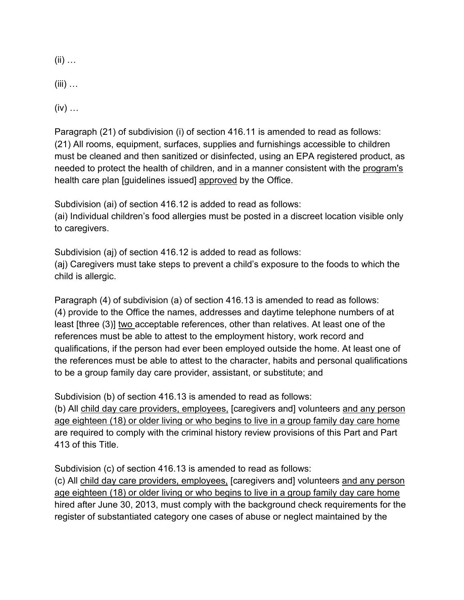$(ii)$  ...

 $(iii)$  ...

 $(iv)$  ...

Paragraph (21) of subdivision (i) of section 416.11 is amended to read as follows: (21) All rooms, equipment, surfaces, supplies and furnishings accessible to children must be cleaned and then sanitized or disinfected, using an EPA registered product, as needed to protect the health of children, and in a manner consistent with the program's health care plan [guidelines issued] approved by the Office.

Subdivision (ai) of section 416.12 is added to read as follows: (ai) Individual children's food allergies must be posted in a discreet location visible only to caregivers.

Subdivision (aj) of section 416.12 is added to read as follows: (aj) Caregivers must take steps to prevent a child's exposure to the foods to which the child is allergic.

Paragraph (4) of subdivision (a) of section 416.13 is amended to read as follows: (4) provide to the Office the names, addresses and daytime telephone numbers of at least [three (3)] two acceptable references, other than relatives. At least one of the references must be able to attest to the employment history, work record and qualifications, if the person had ever been employed outside the home. At least one of the references must be able to attest to the character, habits and personal qualifications to be a group family day care provider, assistant, or substitute; and

Subdivision (b) of section 416.13 is amended to read as follows:

(b) All child day care providers, employees, [caregivers and] volunteers and any person age eighteen (18) or older living or who begins to live in a group family day care home are required to comply with the criminal history review provisions of this Part and Part 413 of this Title.

Subdivision (c) of section 416.13 is amended to read as follows:

(c) All child day care providers, employees, [caregivers and] volunteers and any person age eighteen (18) or older living or who begins to live in a group family day care home hired after June 30, 2013, must comply with the background check requirements for the register of substantiated category one cases of abuse or neglect maintained by the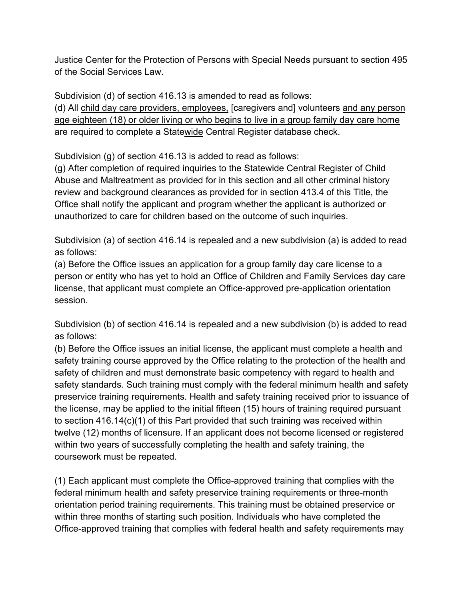Justice Center for the Protection of Persons with Special Needs pursuant to section 495 of the Social Services Law.

Subdivision (d) of section 416.13 is amended to read as follows:

(d) All child day care providers, employees, [caregivers and] volunteers and any person age eighteen (18) or older living or who begins to live in a group family day care home are required to complete a Statewide Central Register database check.

Subdivision (g) of section 416.13 is added to read as follows:

(g) After completion of required inquiries to the Statewide Central Register of Child Abuse and Maltreatment as provided for in this section and all other criminal history review and background clearances as provided for in section 413.4 of this Title, the Office shall notify the applicant and program whether the applicant is authorized or unauthorized to care for children based on the outcome of such inquiries.

Subdivision (a) of section 416.14 is repealed and a new subdivision (a) is added to read as follows:

(a) Before the Office issues an application for a group family day care license to a person or entity who has yet to hold an Office of Children and Family Services day care license, that applicant must complete an Office-approved pre-application orientation session.

Subdivision (b) of section 416.14 is repealed and a new subdivision (b) is added to read as follows:

(b) Before the Office issues an initial license, the applicant must complete a health and safety training course approved by the Office relating to the protection of the health and safety of children and must demonstrate basic competency with regard to health and safety standards. Such training must comply with the federal minimum health and safety preservice training requirements. Health and safety training received prior to issuance of the license, may be applied to the initial fifteen (15) hours of training required pursuant to section 416.14(c)(1) of this Part provided that such training was received within twelve (12) months of licensure. If an applicant does not become licensed or registered within two years of successfully completing the health and safety training, the coursework must be repeated.

(1) Each applicant must complete the Office-approved training that complies with the federal minimum health and safety preservice training requirements or three-month orientation period training requirements. This training must be obtained preservice or within three months of starting such position. Individuals who have completed the Office-approved training that complies with federal health and safety requirements may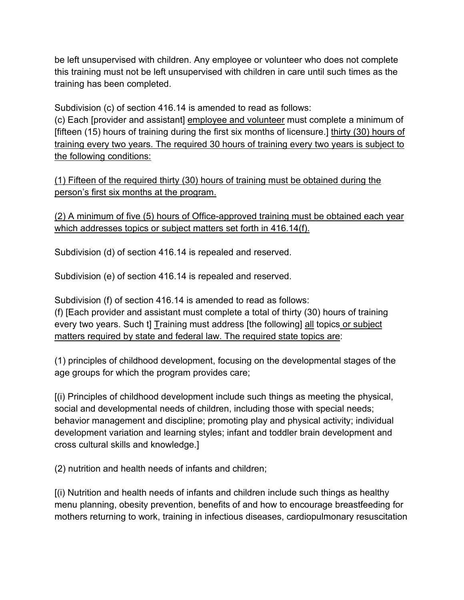be left unsupervised with children. Any employee or volunteer who does not complete this training must not be left unsupervised with children in care until such times as the training has been completed.

Subdivision (c) of section 416.14 is amended to read as follows:

(c) Each [provider and assistant] employee and volunteer must complete a minimum of [fifteen (15) hours of training during the first six months of licensure.] thirty (30) hours of training every two years. The required 30 hours of training every two years is subject to the following conditions:

(1) Fifteen of the required thirty (30) hours of training must be obtained during the person's first six months at the program.

(2) A minimum of five (5) hours of Office-approved training must be obtained each year which addresses topics or subject matters set forth in 416.14(f).

Subdivision (d) of section 416.14 is repealed and reserved.

Subdivision (e) of section 416.14 is repealed and reserved.

Subdivision (f) of section 416.14 is amended to read as follows: (f) [Each provider and assistant must complete a total of thirty (30) hours of training

every two years. Such t] Training must address [the following] all topics or subject matters required by state and federal law. The required state topics are:

(1) principles of childhood development, focusing on the developmental stages of the age groups for which the program provides care;

[(i) Principles of childhood development include such things as meeting the physical, social and developmental needs of children, including those with special needs; behavior management and discipline; promoting play and physical activity; individual development variation and learning styles; infant and toddler brain development and cross cultural skills and knowledge.]

(2) nutrition and health needs of infants and children;

[(i) Nutrition and health needs of infants and children include such things as healthy menu planning, obesity prevention, benefits of and how to encourage breastfeeding for mothers returning to work, training in infectious diseases, cardiopulmonary resuscitation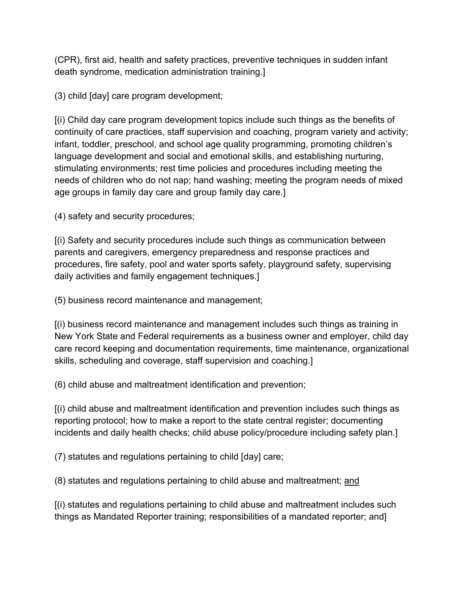(CPR), first aid, health and safety practices, preventive techniques in sudden infant death syndrome, medication administration training.]

(3) child [day] care program development;

[(i) Child day care program development topics include such things as the benefits of continuity of care practices, staff supervision and coaching, program variety and activity; infant, toddler, preschool, and school age quality programming, promoting children's language development and social and emotional skills, and establishing nurturing, stimulating environments; rest time policies and procedures including meeting the needs of children who do not nap; hand washing; meeting the program needs of mixed age groups in family day care and group family day care.]

(4) safety and security procedures;

[(i) Safety and security procedures include such things as communication between parents and caregivers, emergency preparedness and response practices and procedures, fire safety, pool and water sports safety, playground safety, supervising daily activities and family engagement techniques.]

(5) business record maintenance and management;

[(i) business record maintenance and management includes such things as training in New York State and Federal requirements as a business owner and employer, child day care record keeping and documentation requirements, time maintenance, organizational skills, scheduling and coverage, staff supervision and coaching.]

(6) child abuse and maltreatment identification and prevention;

[(i) child abuse and maltreatment identification and prevention includes such things as reporting protocol; how to make a report to the state central register; documenting incidents and daily health checks; child abuse policy/procedure including safety plan.]

(7) statutes and regulations pertaining to child [day] care;

(8) statutes and regulations pertaining to child abuse and maltreatment; and

[(i) statutes and regulations pertaining to child abuse and maltreatment includes such things as Mandated Reporter training; responsibilities of a mandated reporter; and]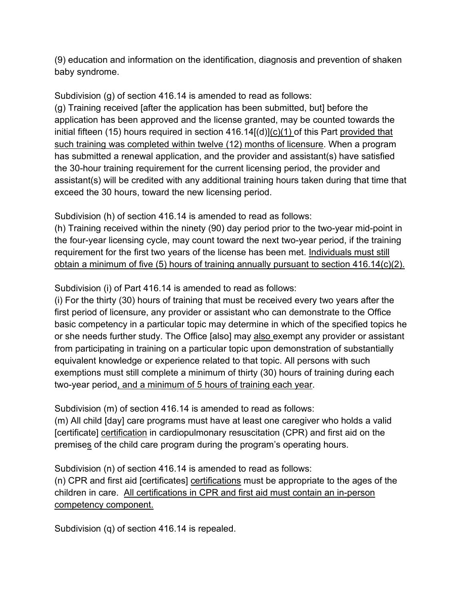(9) education and information on the identification, diagnosis and prevention of shaken baby syndrome.

Subdivision (g) of section 416.14 is amended to read as follows: (g) Training received [after the application has been submitted, but] before the application has been approved and the license granted, may be counted towards the initial fifteen (15) hours required in section  $416.14[(d)](c)(1)$  of this Part provided that such training was completed within twelve (12) months of licensure. When a program has submitted a renewal application, and the provider and assistant(s) have satisfied the 30-hour training requirement for the current licensing period, the provider and assistant(s) will be credited with any additional training hours taken during that time that exceed the 30 hours, toward the new licensing period.

Subdivision (h) of section 416.14 is amended to read as follows:

(h) Training received within the ninety (90) day period prior to the two-year mid-point in the four-year licensing cycle, may count toward the next two-year period, if the training requirement for the first two years of the license has been met. Individuals must still obtain a minimum of five (5) hours of training annually pursuant to section 416.14(c)(2).

Subdivision (i) of Part 416.14 is amended to read as follows:

(i) For the thirty (30) hours of training that must be received every two years after the first period of licensure, any provider or assistant who can demonstrate to the Office basic competency in a particular topic may determine in which of the specified topics he or she needs further study. The Office [also] may also exempt any provider or assistant from participating in training on a particular topic upon demonstration of substantially equivalent knowledge or experience related to that topic. All persons with such exemptions must still complete a minimum of thirty (30) hours of training during each two-year period, and a minimum of 5 hours of training each year.

Subdivision (m) of section 416.14 is amended to read as follows:

(m) All child [day] care programs must have at least one caregiver who holds a valid [certificate] certification in cardiopulmonary resuscitation (CPR) and first aid on the premises of the child care program during the program's operating hours.

Subdivision (n) of section 416.14 is amended to read as follows: (n) CPR and first aid [certificates] certifications must be appropriate to the ages of the children in care. All certifications in CPR and first aid must contain an in-person competency component.

Subdivision (q) of section 416.14 is repealed.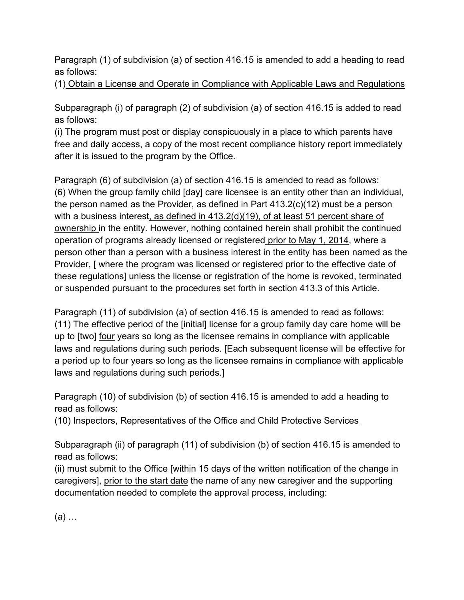Paragraph (1) of subdivision (a) of section 416.15 is amended to add a heading to read as follows:

(1) Obtain a License and Operate in Compliance with Applicable Laws and Regulations

Subparagraph (i) of paragraph (2) of subdivision (a) of section 416.15 is added to read as follows:

(i) The program must post or display conspicuously in a place to which parents have free and daily access, a copy of the most recent compliance history report immediately after it is issued to the program by the Office.

Paragraph (6) of subdivision (a) of section 416.15 is amended to read as follows: (6) When the group family child [day] care licensee is an entity other than an individual, the person named as the Provider, as defined in Part 413.2(c)(12) must be a person with a business interest, as defined in 413.2(d)(19), of at least 51 percent share of ownership in the entity. However, nothing contained herein shall prohibit the continued operation of programs already licensed or registered prior to May 1, 2014, where a person other than a person with a business interest in the entity has been named as the Provider, [ where the program was licensed or registered prior to the effective date of these regulations] unless the license or registration of the home is revoked, terminated or suspended pursuant to the procedures set forth in section 413.3 of this Article.

Paragraph (11) of subdivision (a) of section 416.15 is amended to read as follows: (11) The effective period of the [initial] license for a group family day care home will be up to [two] four years so long as the licensee remains in compliance with applicable laws and regulations during such periods. [Each subsequent license will be effective for a period up to four years so long as the licensee remains in compliance with applicable laws and regulations during such periods.]

Paragraph (10) of subdivision (b) of section 416.15 is amended to add a heading to read as follows:

(10) Inspectors, Representatives of the Office and Child Protective Services

Subparagraph (ii) of paragraph (11) of subdivision (b) of section 416.15 is amended to read as follows:

(ii) must submit to the Office [within 15 days of the written notification of the change in caregivers], prior to the start date the name of any new caregiver and the supporting documentation needed to complete the approval process, including:

(*a*) …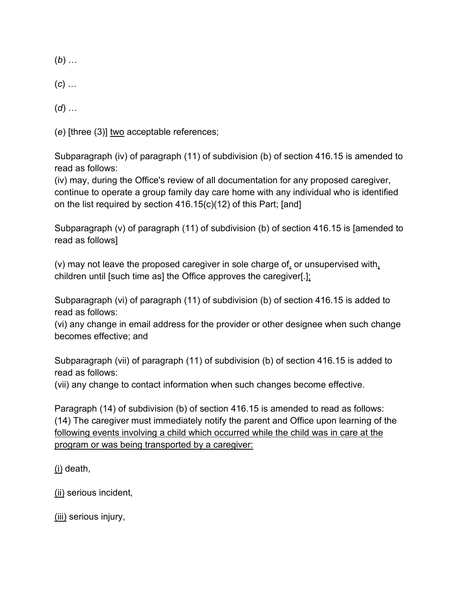(*b*) …

(*c*) …

(*d*) …

(*e*) [three (3)] two acceptable references;

Subparagraph (iv) of paragraph (11) of subdivision (b) of section 416.15 is amended to read as follows:

(iv) may, during the Office's review of all documentation for any proposed caregiver, continue to operate a group family day care home with any individual who is identified on the list required by section 416.15(c)(12) of this Part; [and]

Subparagraph (v) of paragraph (11) of subdivision (b) of section 416.15 is [amended to read as follows]

(v) may not leave the proposed caregiver in sole charge of, or unsupervised with, children until [such time as] the Office approves the caregiver[.];

Subparagraph (vi) of paragraph (11) of subdivision (b) of section 416.15 is added to read as follows:

(vi) any change in email address for the provider or other designee when such change becomes effective; and

Subparagraph (vii) of paragraph (11) of subdivision (b) of section 416.15 is added to read as follows:

(vii) any change to contact information when such changes become effective.

Paragraph (14) of subdivision (b) of section 416.15 is amended to read as follows: (14) The caregiver must immediately notify the parent and Office upon learning of the following events involving a child which occurred while the child was in care at the program or was being transported by a caregiver:

(i) death,

(ii) serious incident,

(iii) serious injury,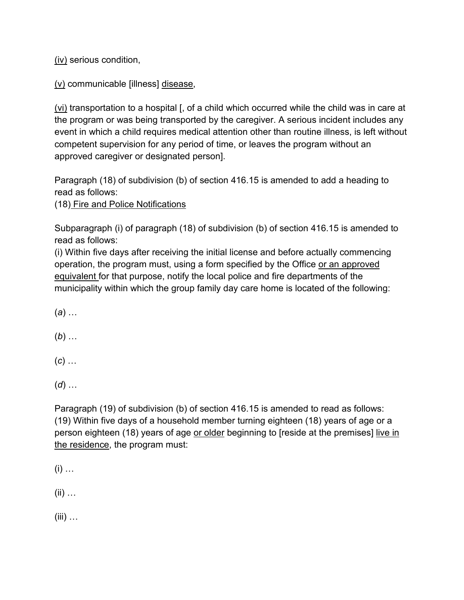(iv) serious condition,

(v) communicable [illness] disease,

(vi) transportation to a hospital [, of a child which occurred while the child was in care at the program or was being transported by the caregiver. A serious incident includes any event in which a child requires medical attention other than routine illness, is left without competent supervision for any period of time, or leaves the program without an approved caregiver or designated person].

Paragraph (18) of subdivision (b) of section 416.15 is amended to add a heading to read as follows:

(18) Fire and Police Notifications

Subparagraph (i) of paragraph (18) of subdivision (b) of section 416.15 is amended to read as follows:

(i) Within five days after receiving the initial license and before actually commencing operation, the program must, using a form specified by the Office or an approved equivalent for that purpose, notify the local police and fire departments of the municipality within which the group family day care home is located of the following:

(*a*) …

(*b*) …

(*c*) …

(*d*) …

Paragraph (19) of subdivision (b) of section 416.15 is amended to read as follows: (19) Within five days of a household member turning eighteen (18) years of age or a person eighteen (18) years of age or older beginning to [reside at the premises] live in the residence, the program must:

 $(i)$  ...

 $(ii)$  ...

 $(iii)$  ...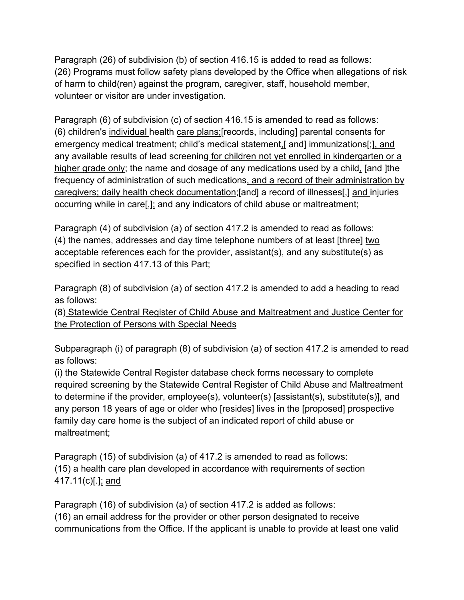Paragraph (26) of subdivision (b) of section 416.15 is added to read as follows: (26) Programs must follow safety plans developed by the Office when allegations of risk of harm to child(ren) against the program, caregiver, staff, household member, volunteer or visitor are under investigation.

Paragraph (6) of subdivision (c) of section 416.15 is amended to read as follows: (6) children's individual health care plans;[records, including] parental consents for emergency medical treatment; child's medical statement,[ and] immunizations[;], and any available results of lead screening for children not yet enrolled in kindergarten or a higher grade only; the name and dosage of any medications used by a child, [and ]the frequency of administration of such medications, and a record of their administration by caregivers; daily health check documentation;[and] a record of illnesses[,] and injuries occurring while in care[,]; and any indicators of child abuse or maltreatment;

Paragraph (4) of subdivision (a) of section 417.2 is amended to read as follows: (4) the names, addresses and day time telephone numbers of at least [three] two acceptable references each for the provider, assistant(s), and any substitute(s) as specified in section 417.13 of this Part;

Paragraph (8) of subdivision (a) of section 417.2 is amended to add a heading to read as follows:

(8) Statewide Central Register of Child Abuse and Maltreatment and Justice Center for the Protection of Persons with Special Needs

Subparagraph (i) of paragraph (8) of subdivision (a) of section 417.2 is amended to read as follows:

(i) the Statewide Central Register database check forms necessary to complete required screening by the Statewide Central Register of Child Abuse and Maltreatment to determine if the provider, employee(s), volunteer(s) [assistant(s), substitute(s)], and any person 18 years of age or older who [resides] lives in the [proposed] prospective family day care home is the subject of an indicated report of child abuse or maltreatment;

Paragraph (15) of subdivision (a) of 417.2 is amended to read as follows: (15) a health care plan developed in accordance with requirements of section 417.11(c)[.]; and

Paragraph (16) of subdivision (a) of section 417.2 is added as follows: (16) an email address for the provider or other person designated to receive communications from the Office. If the applicant is unable to provide at least one valid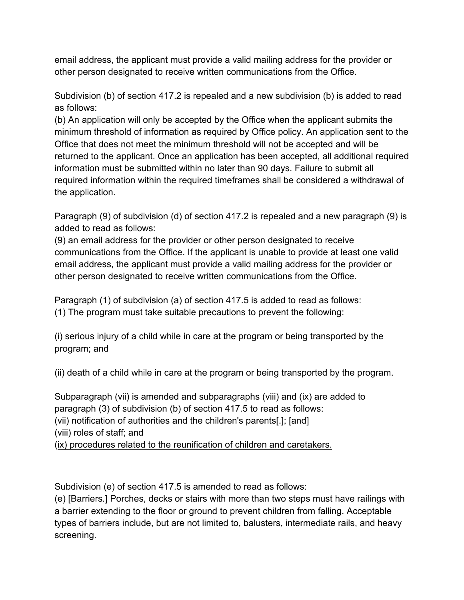email address, the applicant must provide a valid mailing address for the provider or other person designated to receive written communications from the Office.

Subdivision (b) of section 417.2 is repealed and a new subdivision (b) is added to read as follows:

(b) An application will only be accepted by the Office when the applicant submits the minimum threshold of information as required by Office policy. An application sent to the Office that does not meet the minimum threshold will not be accepted and will be returned to the applicant. Once an application has been accepted, all additional required information must be submitted within no later than 90 days. Failure to submit all required information within the required timeframes shall be considered a withdrawal of the application.

Paragraph (9) of subdivision (d) of section 417.2 is repealed and a new paragraph (9) is added to read as follows:

(9) an email address for the provider or other person designated to receive communications from the Office. If the applicant is unable to provide at least one valid email address, the applicant must provide a valid mailing address for the provider or other person designated to receive written communications from the Office.

Paragraph (1) of subdivision (a) of section 417.5 is added to read as follows: (1) The program must take suitable precautions to prevent the following:

(i) serious injury of a child while in care at the program or being transported by the program; and

(ii) death of a child while in care at the program or being transported by the program.

Subparagraph (vii) is amended and subparagraphs (viii) and (ix) are added to paragraph (3) of subdivision (b) of section 417.5 to read as follows: (vii) notification of authorities and the children's parents[.]; [and] (viii) roles of staff; and (ix) procedures related to the reunification of children and caretakers.

Subdivision (e) of section 417.5 is amended to read as follows:

(e) [Barriers*.*] Porches, decks or stairs with more than two steps must have railings with a barrier extending to the floor or ground to prevent children from falling. Acceptable types of barriers include, but are not limited to, balusters, intermediate rails, and heavy screening.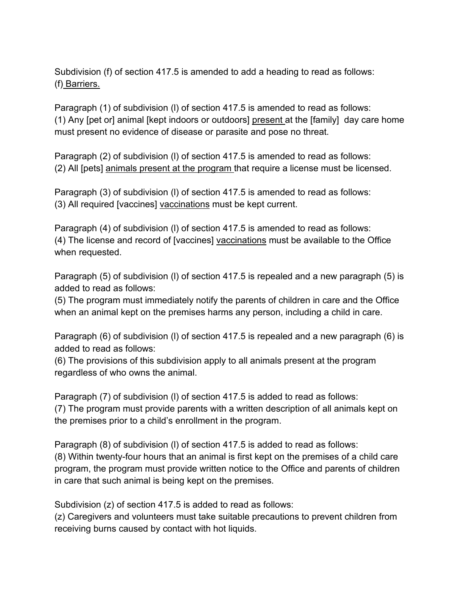Subdivision (f) of section 417.5 is amended to add a heading to read as follows: (f) Barriers.

Paragraph (1) of subdivision (l) of section 417.5 is amended to read as follows: (1) Any [pet or] animal [kept indoors or outdoors] present at the [family] day care home must present no evidence of disease or parasite and pose no threat.

Paragraph (2) of subdivision (l) of section 417.5 is amended to read as follows: (2) All [pets] animals present at the program that require a license must be licensed.

Paragraph (3) of subdivision (l) of section 417.5 is amended to read as follows: (3) All required [vaccines] vaccinations must be kept current.

Paragraph (4) of subdivision (l) of section 417.5 is amended to read as follows: (4) The license and record of [vaccines] vaccinations must be available to the Office when requested.

Paragraph (5) of subdivision (l) of section 417.5 is repealed and a new paragraph (5) is added to read as follows:

(5) The program must immediately notify the parents of children in care and the Office when an animal kept on the premises harms any person, including a child in care.

Paragraph (6) of subdivision (l) of section 417.5 is repealed and a new paragraph (6) is added to read as follows:

(6) The provisions of this subdivision apply to all animals present at the program regardless of who owns the animal.

Paragraph (7) of subdivision (l) of section 417.5 is added to read as follows: (7) The program must provide parents with a written description of all animals kept on the premises prior to a child's enrollment in the program.

Paragraph (8) of subdivision (l) of section 417.5 is added to read as follows: (8) Within twenty-four hours that an animal is first kept on the premises of a child care program, the program must provide written notice to the Office and parents of children in care that such animal is being kept on the premises.

Subdivision (z) of section 417.5 is added to read as follows:

(z) Caregivers and volunteers must take suitable precautions to prevent children from receiving burns caused by contact with hot liquids.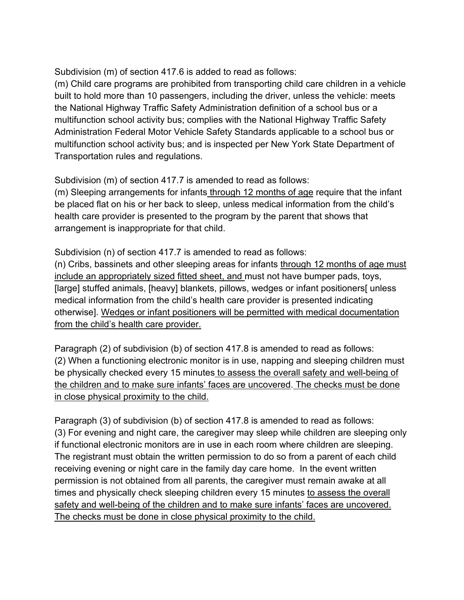Subdivision (m) of section 417.6 is added to read as follows:

(m) Child care programs are prohibited from transporting child care children in a vehicle built to hold more than 10 passengers, including the driver, unless the vehicle: meets the National Highway Traffic Safety Administration definition of a school bus or a multifunction school activity bus; complies with the National Highway Traffic Safety Administration Federal Motor Vehicle Safety Standards applicable to a school bus or multifunction school activity bus; and is inspected per New York State Department of Transportation rules and regulations.

Subdivision (m) of section 417.7 is amended to read as follows:

(m) Sleeping arrangements for infants through 12 months of age require that the infant be placed flat on his or her back to sleep, unless medical information from the child's health care provider is presented to the program by the parent that shows that arrangement is inappropriate for that child.

Subdivision (n) of section 417.7 is amended to read as follows:

(n) Cribs, bassinets and other sleeping areas for infants through 12 months of age must include an appropriately sized fitted sheet, and must not have bumper pads, toys, [large] stuffed animals, [heavy] blankets, pillows, wedges or infant positioners[ unless medical information from the child's health care provider is presented indicating otherwise]. Wedges or infant positioners will be permitted with medical documentation from the child's health care provider.

Paragraph (2) of subdivision (b) of section 417.8 is amended to read as follows: (2) When a functioning electronic monitor is in use, napping and sleeping children must be physically checked every 15 minutes to assess the overall safety and well-being of the children and to make sure infants' faces are uncovered. The checks must be done in close physical proximity to the child.

Paragraph (3) of subdivision (b) of section 417.8 is amended to read as follows: (3) For evening and night care, the caregiver may sleep while children are sleeping only if functional electronic monitors are in use in each room where children are sleeping. The registrant must obtain the written permission to do so from a parent of each child receiving evening or night care in the family day care home. In the event written permission is not obtained from all parents, the caregiver must remain awake at all times and physically check sleeping children every 15 minutes to assess the overall safety and well-being of the children and to make sure infants' faces are uncovered. The checks must be done in close physical proximity to the child.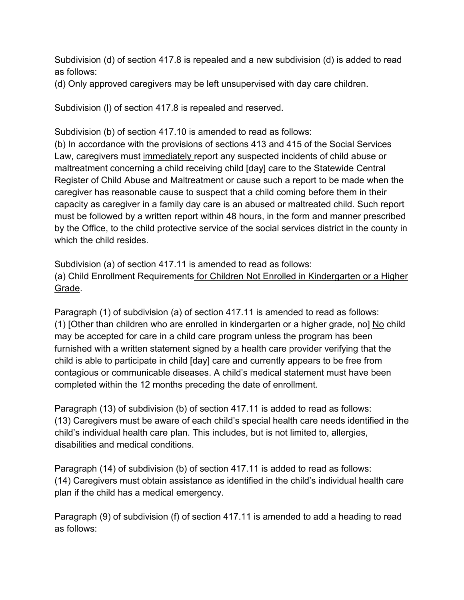Subdivision (d) of section 417.8 is repealed and a new subdivision (d) is added to read as follows:

(d) Only approved caregivers may be left unsupervised with day care children.

Subdivision (l) of section 417.8 is repealed and reserved.

Subdivision (b) of section 417.10 is amended to read as follows:

(b) In accordance with the provisions of sections 413 and 415 of the Social Services Law, caregivers must immediately report any suspected incidents of child abuse or maltreatment concerning a child receiving child [day] care to the Statewide Central Register of Child Abuse and Maltreatment or cause such a report to be made when the caregiver has reasonable cause to suspect that a child coming before them in their capacity as caregiver in a family day care is an abused or maltreated child. Such report must be followed by a written report within 48 hours, in the form and manner prescribed by the Office, to the child protective service of the social services district in the county in which the child resides

Subdivision (a) of section 417.11 is amended to read as follows: (a) Child Enrollment Requirements for Children Not Enrolled in Kindergarten or a Higher Grade.

Paragraph (1) of subdivision (a) of section 417.11 is amended to read as follows: (1) [Other than children who are enrolled in kindergarten or a higher grade, no] No child may be accepted for care in a child care program unless the program has been furnished with a written statement signed by a health care provider verifying that the child is able to participate in child [day] care and currently appears to be free from contagious or communicable diseases. A child's medical statement must have been completed within the 12 months preceding the date of enrollment.

Paragraph (13) of subdivision (b) of section 417.11 is added to read as follows: (13) Caregivers must be aware of each child's special health care needs identified in the child's individual health care plan. This includes, but is not limited to, allergies, disabilities and medical conditions.

Paragraph (14) of subdivision (b) of section 417.11 is added to read as follows: (14) Caregivers must obtain assistance as identified in the child's individual health care plan if the child has a medical emergency.

Paragraph (9) of subdivision (f) of section 417.11 is amended to add a heading to read as follows: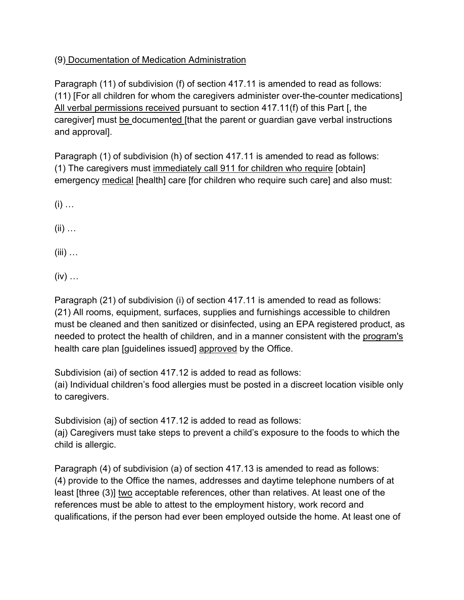## (9) Documentation of Medication Administration

Paragraph (11) of subdivision (f) of section 417.11 is amended to read as follows: (11) [For all children for whom the caregivers administer over-the-counter medications] All verbal permissions received pursuant to section 417.11(f) of this Part [, the caregiver] must be documented [that the parent or guardian gave verbal instructions and approval].

Paragraph (1) of subdivision (h) of section 417.11 is amended to read as follows: (1) The caregivers must immediately call 911 for children who require [obtain] emergency medical [health] care [for children who require such care] and also must:

 $(i)$  ...

(ii) …

 $(iii)$  ...

 $(iv)$  ...

Paragraph (21) of subdivision (i) of section 417.11 is amended to read as follows: (21) All rooms, equipment, surfaces, supplies and furnishings accessible to children must be cleaned and then sanitized or disinfected, using an EPA registered product, as needed to protect the health of children, and in a manner consistent with the program's health care plan [guidelines issued] approved by the Office.

Subdivision (ai) of section 417.12 is added to read as follows: (ai) Individual children's food allergies must be posted in a discreet location visible only to caregivers.

Subdivision (aj) of section 417.12 is added to read as follows: (aj) Caregivers must take steps to prevent a child's exposure to the foods to which the child is allergic.

Paragraph (4) of subdivision (a) of section 417.13 is amended to read as follows: (4) provide to the Office the names, addresses and daytime telephone numbers of at least [three (3)] two acceptable references, other than relatives. At least one of the references must be able to attest to the employment history, work record and qualifications, if the person had ever been employed outside the home. At least one of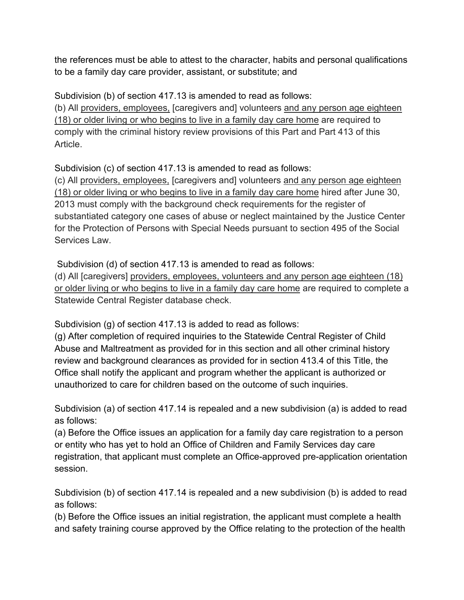the references must be able to attest to the character, habits and personal qualifications to be a family day care provider, assistant, or substitute; and

Subdivision (b) of section 417.13 is amended to read as follows:

(b) All providers, employees, [caregivers and] volunteers and any person age eighteen (18) or older living or who begins to live in a family day care home are required to comply with the criminal history review provisions of this Part and Part 413 of this Article.

Subdivision (c) of section 417.13 is amended to read as follows:

(c) All providers, employees, [caregivers and] volunteers and any person age eighteen (18) or older living or who begins to live in a family day care home hired after June 30, 2013 must comply with the background check requirements for the register of substantiated category one cases of abuse or neglect maintained by the Justice Center for the Protection of Persons with Special Needs pursuant to section 495 of the Social Services Law

Subdivision (d) of section 417.13 is amended to read as follows:

(d) All [caregivers] providers, employees, volunteers and any person age eighteen (18) or older living or who begins to live in a family day care home are required to complete a Statewide Central Register database check.

Subdivision (g) of section 417.13 is added to read as follows:

(g) After completion of required inquiries to the Statewide Central Register of Child Abuse and Maltreatment as provided for in this section and all other criminal history review and background clearances as provided for in section 413.4 of this Title, the Office shall notify the applicant and program whether the applicant is authorized or unauthorized to care for children based on the outcome of such inquiries.

Subdivision (a) of section 417.14 is repealed and a new subdivision (a) is added to read as follows:

(a) Before the Office issues an application for a family day care registration to a person or entity who has yet to hold an Office of Children and Family Services day care registration, that applicant must complete an Office-approved pre-application orientation session.

Subdivision (b) of section 417.14 is repealed and a new subdivision (b) is added to read as follows:

(b) Before the Office issues an initial registration, the applicant must complete a health and safety training course approved by the Office relating to the protection of the health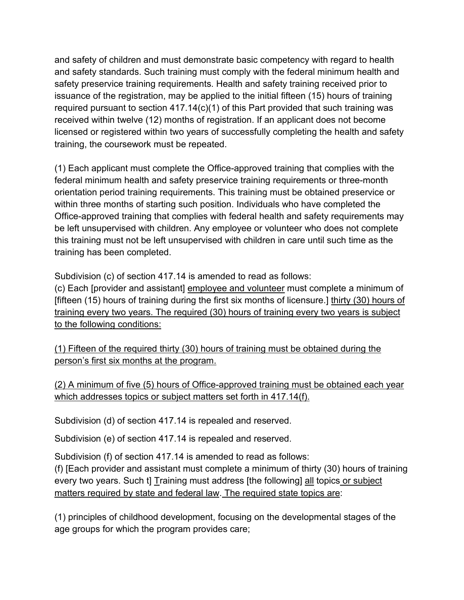and safety of children and must demonstrate basic competency with regard to health and safety standards. Such training must comply with the federal minimum health and safety preservice training requirements. Health and safety training received prior to issuance of the registration, may be applied to the initial fifteen (15) hours of training required pursuant to section 417.14(c)(1) of this Part provided that such training was received within twelve (12) months of registration. If an applicant does not become licensed or registered within two years of successfully completing the health and safety training, the coursework must be repeated.

(1) Each applicant must complete the Office-approved training that complies with the federal minimum health and safety preservice training requirements or three-month orientation period training requirements. This training must be obtained preservice or within three months of starting such position. Individuals who have completed the Office-approved training that complies with federal health and safety requirements may be left unsupervised with children. Any employee or volunteer who does not complete this training must not be left unsupervised with children in care until such time as the training has been completed.

Subdivision (c) of section 417.14 is amended to read as follows:

(c) Each [provider and assistant] employee and volunteer must complete a minimum of [fifteen (15) hours of training during the first six months of licensure.] thirty (30) hours of training every two years. The required (30) hours of training every two years is subject to the following conditions:

(1) Fifteen of the required thirty (30) hours of training must be obtained during the person's first six months at the program.

(2) A minimum of five (5) hours of Office-approved training must be obtained each year which addresses topics or subject matters set forth in 417.14(f).

Subdivision (d) of section 417.14 is repealed and reserved.

Subdivision (e) of section 417.14 is repealed and reserved.

Subdivision (f) of section 417.14 is amended to read as follows:

(f) [Each provider and assistant must complete a minimum of thirty (30) hours of training every two years. Such t] Training must address [the following] all topics or subject matters required by state and federal law. The required state topics are:

(1) principles of childhood development, focusing on the developmental stages of the age groups for which the program provides care;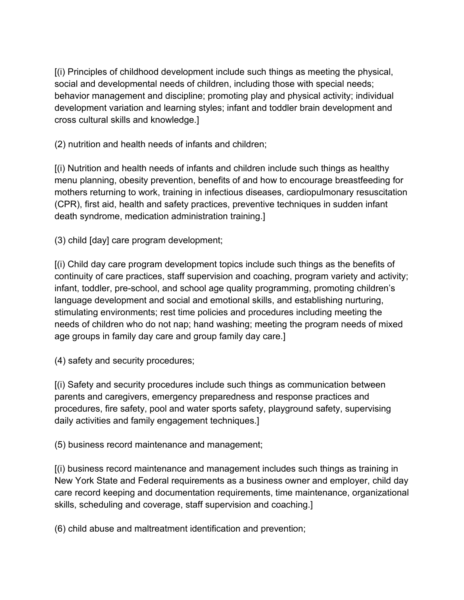[(i) Principles of childhood development include such things as meeting the physical, social and developmental needs of children, including those with special needs; behavior management and discipline; promoting play and physical activity; individual development variation and learning styles; infant and toddler brain development and cross cultural skills and knowledge.]

(2) nutrition and health needs of infants and children;

[(i) Nutrition and health needs of infants and children include such things as healthy menu planning, obesity prevention, benefits of and how to encourage breastfeeding for mothers returning to work, training in infectious diseases, cardiopulmonary resuscitation (CPR), first aid, health and safety practices, preventive techniques in sudden infant death syndrome, medication administration training.]

(3) child [day] care program development;

[(i) Child day care program development topics include such things as the benefits of continuity of care practices, staff supervision and coaching, program variety and activity; infant, toddler, pre-school, and school age quality programming, promoting children's language development and social and emotional skills, and establishing nurturing, stimulating environments; rest time policies and procedures including meeting the needs of children who do not nap; hand washing; meeting the program needs of mixed age groups in family day care and group family day care.]

(4) safety and security procedures;

[(i) Safety and security procedures include such things as communication between parents and caregivers, emergency preparedness and response practices and procedures, fire safety, pool and water sports safety, playground safety, supervising daily activities and family engagement techniques.]

(5) business record maintenance and management;

[(i) business record maintenance and management includes such things as training in New York State and Federal requirements as a business owner and employer, child day care record keeping and documentation requirements, time maintenance, organizational skills, scheduling and coverage, staff supervision and coaching.]

(6) child abuse and maltreatment identification and prevention;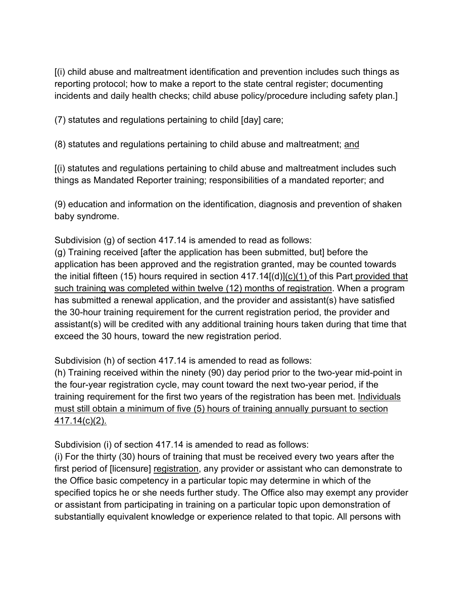[(i) child abuse and maltreatment identification and prevention includes such things as reporting protocol; how to make a report to the state central register; documenting incidents and daily health checks; child abuse policy/procedure including safety plan.]

(7) statutes and regulations pertaining to child [day] care;

(8) statutes and regulations pertaining to child abuse and maltreatment; and

[(i) statutes and regulations pertaining to child abuse and maltreatment includes such things as Mandated Reporter training; responsibilities of a mandated reporter; and

(9) education and information on the identification, diagnosis and prevention of shaken baby syndrome.

Subdivision (g) of section 417.14 is amended to read as follows:

(g) Training received [after the application has been submitted, but] before the application has been approved and the registration granted, may be counted towards the initial fifteen (15) hours required in section 417.14[(d)](c)(1) of this Part provided that such training was completed within twelve (12) months of registration. When a program has submitted a renewal application, and the provider and assistant(s) have satisfied the 30-hour training requirement for the current registration period, the provider and assistant(s) will be credited with any additional training hours taken during that time that exceed the 30 hours, toward the new registration period.

Subdivision (h) of section 417.14 is amended to read as follows:

(h) Training received within the ninety (90) day period prior to the two-year mid-point in the four-year registration cycle, may count toward the next two-year period, if the training requirement for the first two years of the registration has been met. Individuals must still obtain a minimum of five (5) hours of training annually pursuant to section 417.14(c)(2).

Subdivision (i) of section 417.14 is amended to read as follows:

(i) For the thirty (30) hours of training that must be received every two years after the first period of [licensure] registration, any provider or assistant who can demonstrate to the Office basic competency in a particular topic may determine in which of the specified topics he or she needs further study. The Office also may exempt any provider or assistant from participating in training on a particular topic upon demonstration of substantially equivalent knowledge or experience related to that topic. All persons with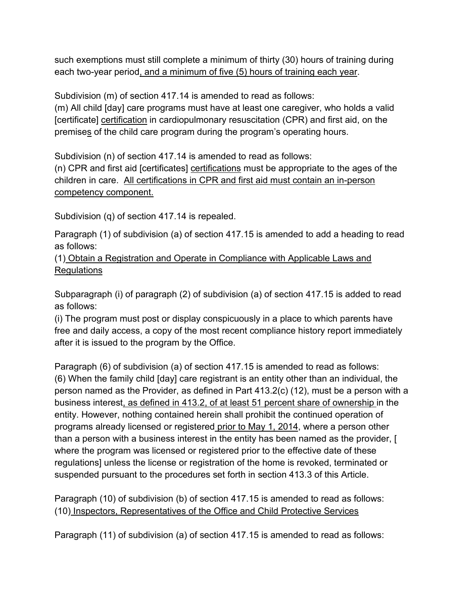such exemptions must still complete a minimum of thirty (30) hours of training during each two-year period, and a minimum of five (5) hours of training each year.

Subdivision (m) of section 417.14 is amended to read as follows:

(m) All child [day] care programs must have at least one caregiver, who holds a valid [certificate] certification in cardiopulmonary resuscitation (CPR) and first aid, on the premises of the child care program during the program's operating hours.

Subdivision (n) of section 417.14 is amended to read as follows:

(n) CPR and first aid [certificates] certifications must be appropriate to the ages of the children in care. All certifications in CPR and first aid must contain an in-person competency component.

Subdivision (q) of section 417.14 is repealed.

Paragraph (1) of subdivision (a) of section 417.15 is amended to add a heading to read as follows:

(1) Obtain a Registration and Operate in Compliance with Applicable Laws and **Regulations** 

Subparagraph (i) of paragraph (2) of subdivision (a) of section 417.15 is added to read as follows:

(i) The program must post or display conspicuously in a place to which parents have free and daily access, a copy of the most recent compliance history report immediately after it is issued to the program by the Office.

Paragraph (6) of subdivision (a) of section 417.15 is amended to read as follows: (6) When the family child [day] care registrant is an entity other than an individual, the person named as the Provider, as defined in Part 413.2(c) (12), must be a person with a business interest, as defined in 413.2, of at least 51 percent share of ownership in the entity. However, nothing contained herein shall prohibit the continued operation of programs already licensed or registered prior to May 1, 2014, where a person other than a person with a business interest in the entity has been named as the provider, [ where the program was licensed or registered prior to the effective date of these regulations] unless the license or registration of the home is revoked, terminated or suspended pursuant to the procedures set forth in section 413.3 of this Article.

Paragraph (10) of subdivision (b) of section 417.15 is amended to read as follows: (10) Inspectors, Representatives of the Office and Child Protective Services

Paragraph (11) of subdivision (a) of section 417.15 is amended to read as follows: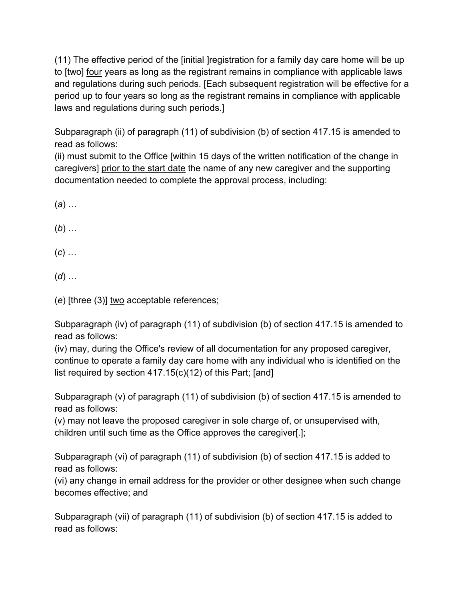(11) The effective period of the [initial ]registration for a family day care home will be up to [two] four years as long as the registrant remains in compliance with applicable laws and regulations during such periods. [Each subsequent registration will be effective for a period up to four years so long as the registrant remains in compliance with applicable laws and regulations during such periods.]

Subparagraph (ii) of paragraph (11) of subdivision (b) of section 417.15 is amended to read as follows:

(ii) must submit to the Office [within 15 days of the written notification of the change in caregivers] prior to the start date the name of any new caregiver and the supporting documentation needed to complete the approval process, including:

(*a*) …

(*b*) …

(*c*) …

(*d*) …

(*e*) [three (3)] two acceptable references;

Subparagraph (iv) of paragraph (11) of subdivision (b) of section 417.15 is amended to read as follows:

(iv) may, during the Office's review of all documentation for any proposed caregiver, continue to operate a family day care home with any individual who is identified on the list required by section 417.15(c)(12) of this Part; [and]

Subparagraph (v) of paragraph (11) of subdivision (b) of section 417.15 is amended to read as follows:

(v) may not leave the proposed caregiver in sole charge of, or unsupervised with, children until such time as the Office approves the caregiver[.];

Subparagraph (vi) of paragraph (11) of subdivision (b) of section 417.15 is added to read as follows:

(vi) any change in email address for the provider or other designee when such change becomes effective; and

Subparagraph (vii) of paragraph (11) of subdivision (b) of section 417.15 is added to read as follows: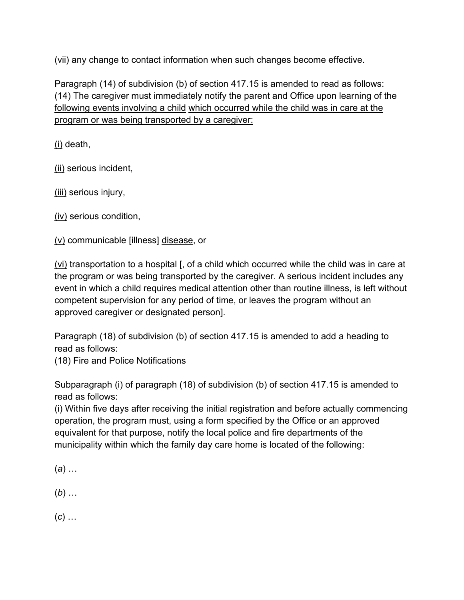(vii) any change to contact information when such changes become effective.

Paragraph (14) of subdivision (b) of section 417.15 is amended to read as follows: (14) The caregiver must immediately notify the parent and Office upon learning of the following events involving a child which occurred while the child was in care at the program or was being transported by a caregiver:

(i) death,

(ii) serious incident,

(iii) serious injury,

(iv) serious condition,

(v) communicable [illness] disease, or

(vi) transportation to a hospital [, of a child which occurred while the child was in care at the program or was being transported by the caregiver. A serious incident includes any event in which a child requires medical attention other than routine illness, is left without competent supervision for any period of time, or leaves the program without an approved caregiver or designated person].

Paragraph (18) of subdivision (b) of section 417.15 is amended to add a heading to read as follows:

(18) Fire and Police Notifications

Subparagraph (i) of paragraph (18) of subdivision (b) of section 417.15 is amended to read as follows:

(i) Within five days after receiving the initial registration and before actually commencing operation, the program must, using a form specified by the Office or an approved equivalent for that purpose, notify the local police and fire departments of the municipality within which the family day care home is located of the following:

(*a*) …

(*b*) …

(*c*) …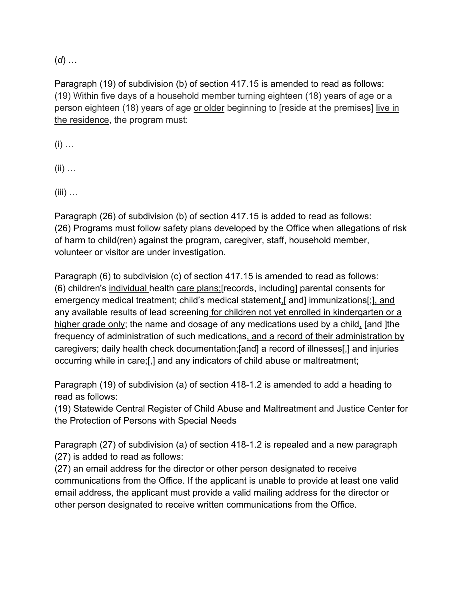(*d*) …

Paragraph (19) of subdivision (b) of section 417.15 is amended to read as follows: (19) Within five days of a household member turning eighteen (18) years of age or a person eighteen (18) years of age or older beginning to [reside at the premises] live in the residence, the program must:

 $(i)$  …

 $(ii)$  ...

 $(iii)$  ...

Paragraph (26) of subdivision (b) of section 417.15 is added to read as follows: (26) Programs must follow safety plans developed by the Office when allegations of risk of harm to child(ren) against the program, caregiver, staff, household member, volunteer or visitor are under investigation.

Paragraph (6) to subdivision (c) of section 417.15 is amended to read as follows: (6) children's individual health care plans;[records, including] parental consents for emergency medical treatment; child's medical statement,[ and] immunizations[;], and any available results of lead screening for children not yet enrolled in kindergarten or a higher grade only; the name and dosage of any medications used by a child, [and ]the frequency of administration of such medications, and a record of their administration by caregivers; daily health check documentation;[and] a record of illnesses[,] and injuries occurring while in care;[,] and any indicators of child abuse or maltreatment;

Paragraph (19) of subdivision (a) of section 418-1.2 is amended to add a heading to read as follows:

(19) Statewide Central Register of Child Abuse and Maltreatment and Justice Center for the Protection of Persons with Special Needs

Paragraph (27) of subdivision (a) of section 418-1.2 is repealed and a new paragraph (27) is added to read as follows:

(27) an email address for the director or other person designated to receive communications from the Office. If the applicant is unable to provide at least one valid email address, the applicant must provide a valid mailing address for the director or other person designated to receive written communications from the Office.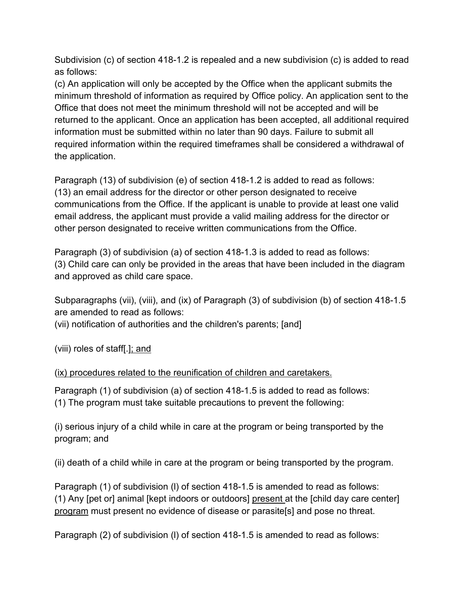Subdivision (c) of section 418-1.2 is repealed and a new subdivision (c) is added to read as follows:

(c) An application will only be accepted by the Office when the applicant submits the minimum threshold of information as required by Office policy. An application sent to the Office that does not meet the minimum threshold will not be accepted and will be returned to the applicant. Once an application has been accepted, all additional required information must be submitted within no later than 90 days. Failure to submit all required information within the required timeframes shall be considered a withdrawal of the application.

Paragraph (13) of subdivision (e) of section 418-1.2 is added to read as follows: (13) an email address for the director or other person designated to receive communications from the Office. If the applicant is unable to provide at least one valid email address, the applicant must provide a valid mailing address for the director or other person designated to receive written communications from the Office.

Paragraph (3) of subdivision (a) of section 418-1.3 is added to read as follows: (3) Child care can only be provided in the areas that have been included in the diagram and approved as child care space.

Subparagraphs (vii), (viii), and (ix) of Paragraph (3) of subdivision (b) of section 418-1.5 are amended to read as follows:

(vii) notification of authorities and the children's parents; [and]

(viii) roles of staff[.]; and

(ix) procedures related to the reunification of children and caretakers.

Paragraph (1) of subdivision (a) of section 418-1.5 is added to read as follows: (1) The program must take suitable precautions to prevent the following:

(i) serious injury of a child while in care at the program or being transported by the program; and

(ii) death of a child while in care at the program or being transported by the program.

Paragraph (1) of subdivision (l) of section 418-1.5 is amended to read as follows: (1) Any [pet or] animal [kept indoors or outdoors] present at the [child day care center] program must present no evidence of disease or parasite[s] and pose no threat.

Paragraph (2) of subdivision (l) of section 418-1.5 is amended to read as follows: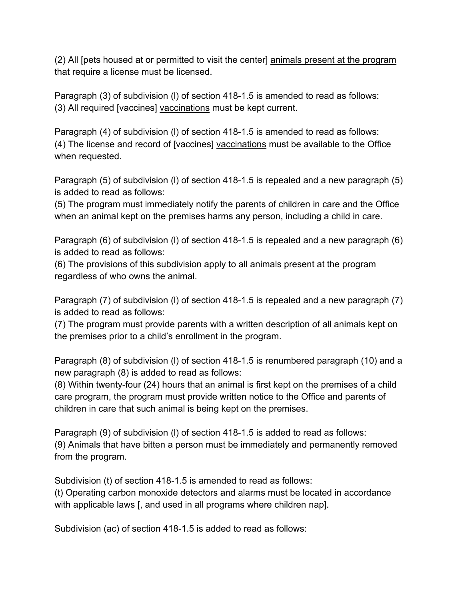(2) All [pets housed at or permitted to visit the center] animals present at the program that require a license must be licensed.

Paragraph (3) of subdivision (l) of section 418-1.5 is amended to read as follows: (3) All required [vaccines] vaccinations must be kept current.

Paragraph (4) of subdivision (l) of section 418-1.5 is amended to read as follows: (4) The license and record of [vaccines] vaccinations must be available to the Office when requested.

Paragraph (5) of subdivision (l) of section 418-1.5 is repealed and a new paragraph (5) is added to read as follows:

(5) The program must immediately notify the parents of children in care and the Office when an animal kept on the premises harms any person, including a child in care.

Paragraph (6) of subdivision (l) of section 418-1.5 is repealed and a new paragraph (6) is added to read as follows:

(6) The provisions of this subdivision apply to all animals present at the program regardless of who owns the animal.

Paragraph (7) of subdivision (l) of section 418-1.5 is repealed and a new paragraph (7) is added to read as follows:

(7) The program must provide parents with a written description of all animals kept on the premises prior to a child's enrollment in the program.

Paragraph (8) of subdivision (l) of section 418-1.5 is renumbered paragraph (10) and a new paragraph (8) is added to read as follows:

(8) Within twenty-four (24) hours that an animal is first kept on the premises of a child care program, the program must provide written notice to the Office and parents of children in care that such animal is being kept on the premises.

Paragraph (9) of subdivision (l) of section 418-1.5 is added to read as follows: (9) Animals that have bitten a person must be immediately and permanently removed from the program.

Subdivision (t) of section 418-1.5 is amended to read as follows:

(t) Operating carbon monoxide detectors and alarms must be located in accordance with applicable laws [, and used in all programs where children nap].

Subdivision (ac) of section 418-1.5 is added to read as follows: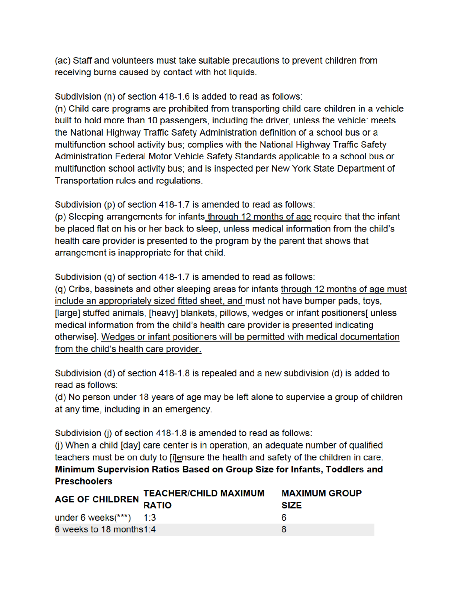(ac) Staff and volunteers must take suitable precautions to prevent children from receiving burns caused by contact with hot liquids.

Subdivision (n) of section 418-1.6 is added to read as follows:

(n) Child care programs are prohibited from transporting child care children in a vehicle built to hold more than 10 passengers, including the driver, unless the vehicle: meets the National Highway Traffic Safety Administration definition of a school bus or a multifunction school activity bus; complies with the National Highway Traffic Safety Administration Federal Motor Vehicle Safety Standards applicable to a school bus or multifunction school activity bus; and is inspected per New York State Department of Transportation rules and regulations.

Subdivision (p) of section 418-1.7 is amended to read as follows:

(p) Sleeping arrangements for infants through 12 months of age require that the infant be placed flat on his or her back to sleep, unless medical information from the child's health care provider is presented to the program by the parent that shows that arrangement is inappropriate for that child.

Subdivision (q) of section 418-1.7 is amended to read as follows:

(g) Cribs, bassinets and other sleeping areas for infants through 12 months of age must include an appropriately sized fitted sheet, and must not have bumper pads, toys, [large] stuffed animals, [heavy] blankets, pillows, wedges or infant positioners[ unless medical information from the child's health care provider is presented indicating otherwise]. Wedges or infant positioners will be permitted with medical documentation from the child's health care provider.

Subdivision (d) of section 418-1.8 is repealed and a new subdivision (d) is added to read as follows:

(d) No person under 18 years of age may be left alone to supervise a group of children at any time, including in an emergency.

Subdivision (i) of section 418-1.8 is amended to read as follows:

(j) When a child [day] care center is in operation, an adequate number of qualified teachers must be on duty to [i]ensure the health and safety of the children in care. Minimum Supervision Ratios Based on Group Size for Infants, Toddlers and **Preschoolers** 

|                           | AGE OF CHILDREN TEACHER/CHILD MAXIMUM | <b>MAXIMUM GROUP</b><br><b>SIZE</b> |
|---------------------------|---------------------------------------|-------------------------------------|
| under 6 weeks $(***)$ 1:3 |                                       | 6                                   |
| 6 weeks to 18 months1:4   |                                       | я                                   |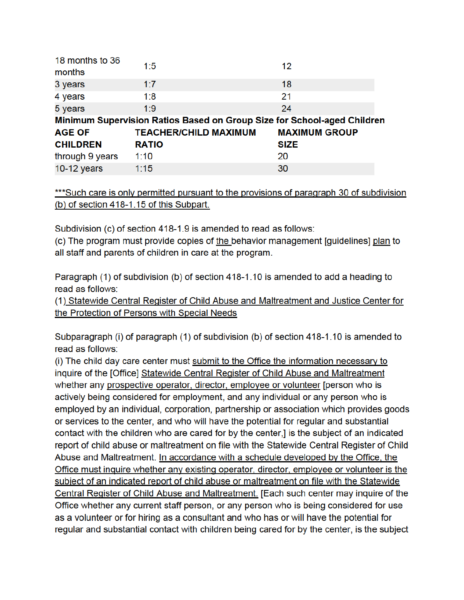| 18 months to 36                                                         | 1:5                          | 12                   |  |  |
|-------------------------------------------------------------------------|------------------------------|----------------------|--|--|
| months                                                                  |                              |                      |  |  |
| 3 years                                                                 | 1:7                          | 18                   |  |  |
| 4 years                                                                 | 1:8                          | 21                   |  |  |
| 5 years                                                                 | 1:9                          | 24                   |  |  |
| Minimum Supervision Ratios Based on Group Size for School-aged Children |                              |                      |  |  |
|                                                                         |                              |                      |  |  |
| <b>AGE OF</b>                                                           | <b>TEACHER/CHILD MAXIMUM</b> | <b>MAXIMUM GROUP</b> |  |  |
| <b>CHILDREN</b>                                                         | <b>RATIO</b>                 | <b>SIZE</b>          |  |  |
| through 9 years                                                         | 1:10                         | 20                   |  |  |

\*\*\*Such care is only permitted pursuant to the provisions of paragraph 30 of subdivision (b) of section 418-1.15 of this Subpart.

Subdivision (c) of section 418-1.9 is amended to read as follows:

(c) The program must provide copies of the behavior management [guidelines] plan to all staff and parents of children in care at the program.

Paragraph (1) of subdivision (b) of section 418-1.10 is amended to add a heading to read as follows:

(1) Statewide Central Register of Child Abuse and Maltreatment and Justice Center for the Protection of Persons with Special Needs

Subparagraph (i) of paragraph (1) of subdivision (b) of section 418-1.10 is amended to read as follows:

(i) The child day care center must submit to the Office the information necessary to inquire of the [Office] Statewide Central Register of Child Abuse and Maltreatment whether any prospective operator, director, employee or volunteer [person who is actively being considered for employment, and any individual or any person who is employed by an individual, corporation, partnership or association which provides goods or services to the center, and who will have the potential for regular and substantial contact with the children who are cared for by the center,] is the subject of an indicated report of child abuse or maltreatment on file with the Statewide Central Register of Child Abuse and Maltreatment. In accordance with a schedule developed by the Office, the Office must inquire whether any existing operator, director, employee or volunteer is the subject of an indicated report of child abuse or maltreatment on file with the Statewide Central Register of Child Abuse and Maltreatment. [Each such center may inquire of the Office whether any current staff person, or any person who is being considered for use as a volunteer or for hiring as a consultant and who has or will have the potential for regular and substantial contact with children being cared for by the center, is the subject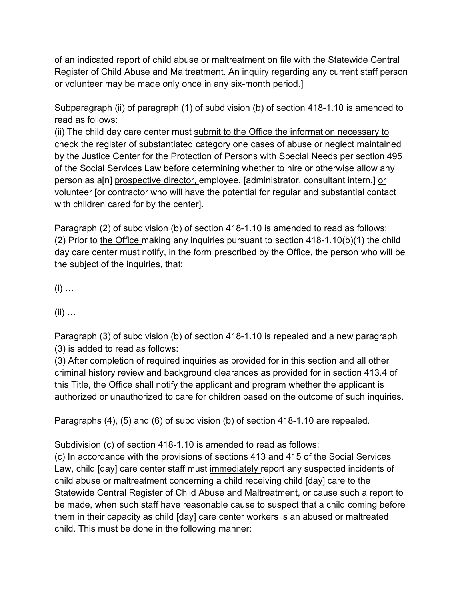of an indicated report of child abuse or maltreatment on file with the Statewide Central Register of Child Abuse and Maltreatment. An inquiry regarding any current staff person or volunteer may be made only once in any six-month period.]

Subparagraph (ii) of paragraph (1) of subdivision (b) of section 418-1.10 is amended to read as follows:

(ii) The child day care center must submit to the Office the information necessary to check the register of substantiated category one cases of abuse or neglect maintained by the Justice Center for the Protection of Persons with Special Needs per section 495 of the Social Services Law before determining whether to hire or otherwise allow any person as a[n] prospective director, employee, [administrator, consultant intern,] or volunteer [or contractor who will have the potential for regular and substantial contact with children cared for by the center].

Paragraph (2) of subdivision (b) of section 418-1.10 is amended to read as follows: (2) Prior to the Office making any inquiries pursuant to section 418-1.10(b)(1) the child day care center must notify, in the form prescribed by the Office, the person who will be the subject of the inquiries, that:

 $(i)$  ...

(ii) …

Paragraph (3) of subdivision (b) of section 418-1.10 is repealed and a new paragraph (3) is added to read as follows:

(3) After completion of required inquiries as provided for in this section and all other criminal history review and background clearances as provided for in section 413.4 of this Title, the Office shall notify the applicant and program whether the applicant is authorized or unauthorized to care for children based on the outcome of such inquiries.

Paragraphs (4), (5) and (6) of subdivision (b) of section 418-1.10 are repealed.

Subdivision (c) of section 418-1.10 is amended to read as follows:

(c) In accordance with the provisions of sections 413 and 415 of the Social Services Law, child [day] care center staff must immediately report any suspected incidents of child abuse or maltreatment concerning a child receiving child [day] care to the Statewide Central Register of Child Abuse and Maltreatment, or cause such a report to be made, when such staff have reasonable cause to suspect that a child coming before them in their capacity as child [day] care center workers is an abused or maltreated child. This must be done in the following manner: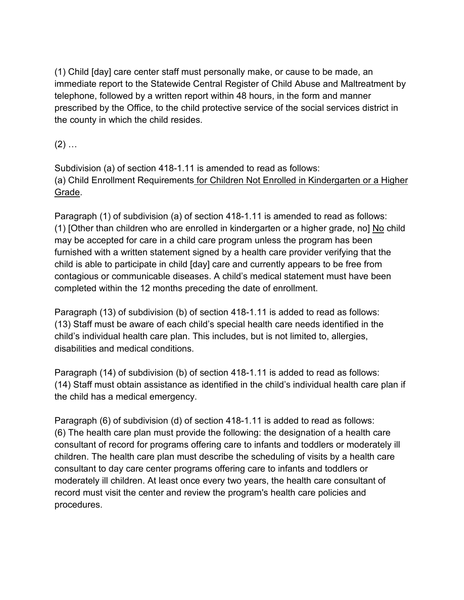(1) Child [day] care center staff must personally make, or cause to be made, an immediate report to the Statewide Central Register of Child Abuse and Maltreatment by telephone, followed by a written report within 48 hours, in the form and manner prescribed by the Office, to the child protective service of the social services district in the county in which the child resides.

 $(2)$  ...

Subdivision (a) of section 418-1.11 is amended to read as follows: (a) Child Enrollment Requirements for Children Not Enrolled in Kindergarten or a Higher Grade.

Paragraph (1) of subdivision (a) of section 418-1.11 is amended to read as follows: (1) [Other than children who are enrolled in kindergarten or a higher grade, no] No child may be accepted for care in a child care program unless the program has been furnished with a written statement signed by a health care provider verifying that the child is able to participate in child [day] care and currently appears to be free from contagious or communicable diseases. A child's medical statement must have been completed within the 12 months preceding the date of enrollment.

Paragraph (13) of subdivision (b) of section 418-1.11 is added to read as follows: (13) Staff must be aware of each child's special health care needs identified in the child's individual health care plan. This includes, but is not limited to, allergies, disabilities and medical conditions.

Paragraph (14) of subdivision (b) of section 418-1.11 is added to read as follows: (14) Staff must obtain assistance as identified in the child's individual health care plan if the child has a medical emergency.

Paragraph (6) of subdivision (d) of section 418-1.11 is added to read as follows: (6) The health care plan must provide the following: the designation of a health care consultant of record for programs offering care to infants and toddlers or moderately ill children. The health care plan must describe the scheduling of visits by a health care consultant to day care center programs offering care to infants and toddlers or moderately ill children. At least once every two years, the health care consultant of record must visit the center and review the program's health care policies and procedures.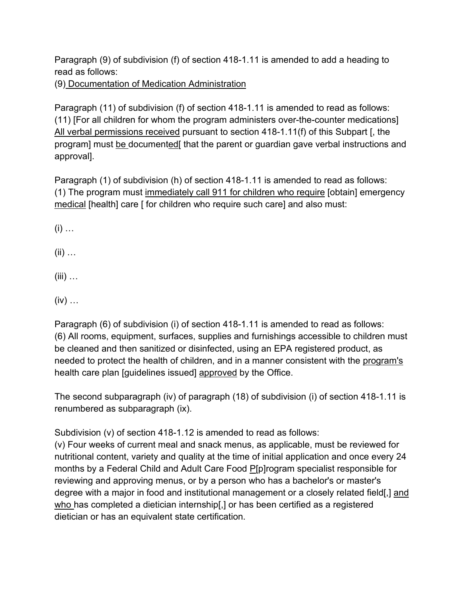Paragraph (9) of subdivision (f) of section 418-1.11 is amended to add a heading to read as follows:

(9) Documentation of Medication Administration

Paragraph (11) of subdivision (f) of section 418-1.11 is amended to read as follows: (11) [For all children for whom the program administers over-the-counter medications] All verbal permissions received pursuant to section 418-1.11(f) of this Subpart [, the program] must be documented[ that the parent or guardian gave verbal instructions and approval].

Paragraph (1) of subdivision (h) of section 418-1.11 is amended to read as follows: (1) The program must immediately call 911 for children who require [obtain] emergency medical [health] care [ for children who require such care] and also must:

 $(i)$  …

- $(ii)$  …
- $(iii)$  ...
- $(iv)$  ...

Paragraph (6) of subdivision (i) of section 418-1.11 is amended to read as follows: (6) All rooms, equipment, surfaces, supplies and furnishings accessible to children must be cleaned and then sanitized or disinfected, using an EPA registered product, as needed to protect the health of children, and in a manner consistent with the program's health care plan [guidelines issued] approved by the Office.

The second subparagraph (iv) of paragraph (18) of subdivision (i) of section 418-1.11 is renumbered as subparagraph (ix).

Subdivision (v) of section 418-1.12 is amended to read as follows:

(v) Four weeks of current meal and snack menus, as applicable, must be reviewed for nutritional content, variety and quality at the time of initial application and once every 24 months by a Federal Child and Adult Care Food P[p]rogram specialist responsible for reviewing and approving menus, or by a person who has a bachelor's or master's degree with a major in food and institutional management or a closely related field[,] and who has completed a dietician internship[,] or has been certified as a registered dietician or has an equivalent state certification.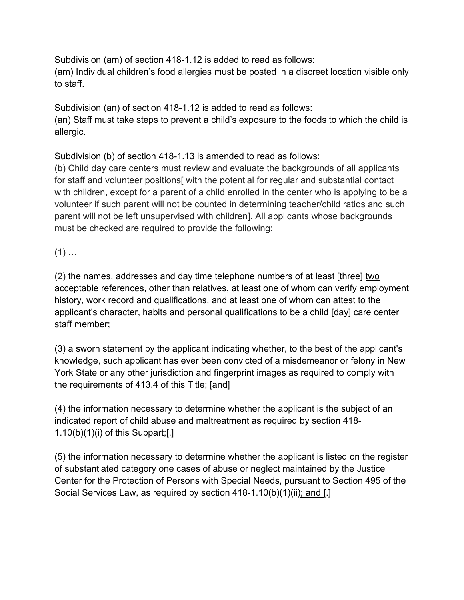Subdivision (am) of section 418-1.12 is added to read as follows: (am) Individual children's food allergies must be posted in a discreet location visible only to staff.

Subdivision (an) of section 418-1.12 is added to read as follows: (an) Staff must take steps to prevent a child's exposure to the foods to which the child is allergic.

Subdivision (b) of section 418-1.13 is amended to read as follows:

(b) Child day care centers must review and evaluate the backgrounds of all applicants for staff and volunteer positions with the potential for regular and substantial contact with children, except for a parent of a child enrolled in the center who is applying to be a volunteer if such parent will not be counted in determining teacher/child ratios and such parent will not be left unsupervised with children]. All applicants whose backgrounds must be checked are required to provide the following:

 $(1)$  …

(2) the names, addresses and day time telephone numbers of at least [three] two acceptable references, other than relatives, at least one of whom can verify employment history, work record and qualifications, and at least one of whom can attest to the applicant's character, habits and personal qualifications to be a child [day] care center staff member;

(3) a sworn statement by the applicant indicating whether, to the best of the applicant's knowledge, such applicant has ever been convicted of a misdemeanor or felony in New York State or any other jurisdiction and fingerprint images as required to comply with the requirements of 413.4 of this Title; [and]

(4) the information necessary to determine whether the applicant is the subject of an indicated report of child abuse and maltreatment as required by section 418-  $1.10(b)(1)(i)$  of this Subpart;[.]

(5) the information necessary to determine whether the applicant is listed on the register of substantiated category one cases of abuse or neglect maintained by the Justice Center for the Protection of Persons with Special Needs, pursuant to Section 495 of the Social Services Law, as required by section 418-1.10(b)(1)(ii); and [.]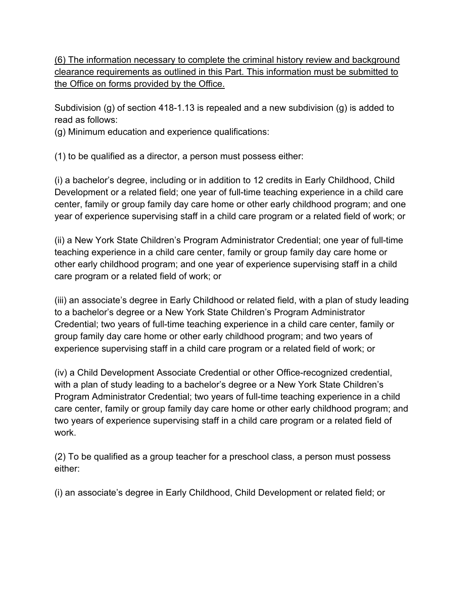(6) The information necessary to complete the criminal history review and background clearance requirements as outlined in this Part. This information must be submitted to the Office on forms provided by the Office.

Subdivision (g) of section 418-1.13 is repealed and a new subdivision (g) is added to read as follows:

(g) Minimum education and experience qualifications:

(1) to be qualified as a director, a person must possess either:

(i) a bachelor's degree, including or in addition to 12 credits in Early Childhood, Child Development or a related field; one year of full-time teaching experience in a child care center, family or group family day care home or other early childhood program; and one year of experience supervising staff in a child care program or a related field of work; or

(ii) a New York State Children's Program Administrator Credential; one year of full-time teaching experience in a child care center, family or group family day care home or other early childhood program; and one year of experience supervising staff in a child care program or a related field of work; or

(iii) an associate's degree in Early Childhood or related field, with a plan of study leading to a bachelor's degree or a New York State Children's Program Administrator Credential; two years of full-time teaching experience in a child care center, family or group family day care home or other early childhood program; and two years of experience supervising staff in a child care program or a related field of work; or

(iv) a Child Development Associate Credential or other Office-recognized credential, with a plan of study leading to a bachelor's degree or a New York State Children's Program Administrator Credential; two years of full-time teaching experience in a child care center, family or group family day care home or other early childhood program; and two years of experience supervising staff in a child care program or a related field of work.

(2) To be qualified as a group teacher for a preschool class, a person must possess either:

(i) an associate's degree in Early Childhood, Child Development or related field; or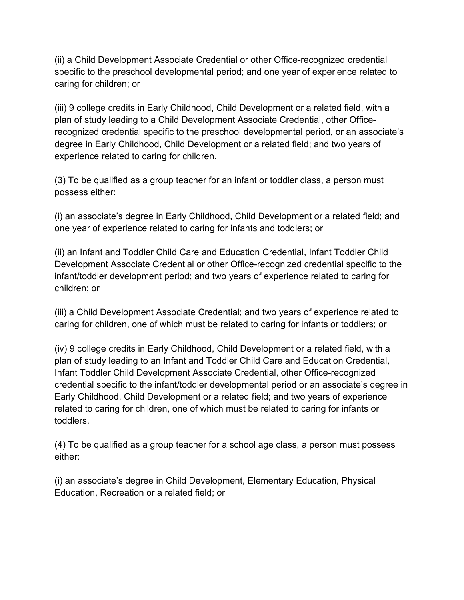(ii) a Child Development Associate Credential or other Office-recognized credential specific to the preschool developmental period; and one year of experience related to caring for children; or

(iii) 9 college credits in Early Childhood, Child Development or a related field, with a plan of study leading to a Child Development Associate Credential, other Officerecognized credential specific to the preschool developmental period, or an associate's degree in Early Childhood, Child Development or a related field; and two years of experience related to caring for children.

(3) To be qualified as a group teacher for an infant or toddler class, a person must possess either:

(i) an associate's degree in Early Childhood, Child Development or a related field; and one year of experience related to caring for infants and toddlers; or

(ii) an Infant and Toddler Child Care and Education Credential, Infant Toddler Child Development Associate Credential or other Office-recognized credential specific to the infant/toddler development period; and two years of experience related to caring for children; or

(iii) a Child Development Associate Credential; and two years of experience related to caring for children, one of which must be related to caring for infants or toddlers; or

(iv) 9 college credits in Early Childhood, Child Development or a related field, with a plan of study leading to an Infant and Toddler Child Care and Education Credential, Infant Toddler Child Development Associate Credential, other Office-recognized credential specific to the infant/toddler developmental period or an associate's degree in Early Childhood, Child Development or a related field; and two years of experience related to caring for children, one of which must be related to caring for infants or toddlers.

(4) To be qualified as a group teacher for a school age class, a person must possess either:

(i) an associate's degree in Child Development, Elementary Education, Physical Education, Recreation or a related field; or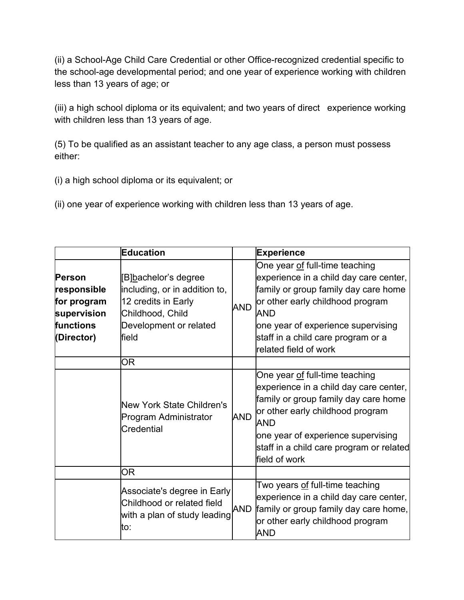(ii) a School-Age Child Care Credential or other Office-recognized credential specific to the school-age developmental period; and one year of experience working with children less than 13 years of age; or

(iii) a high school diploma or its equivalent; and two years of direct experience working with children less than 13 years of age.

(5) To be qualified as an assistant teacher to any age class, a person must possess either:

(i) a high school diploma or its equivalent; or

(ii) one year of experience working with children less than 13 years of age.

|                                                                                | Education                                                                                                                                    |            | <b>Experience</b>                                                                                                                                                                                                                                                       |
|--------------------------------------------------------------------------------|----------------------------------------------------------------------------------------------------------------------------------------------|------------|-------------------------------------------------------------------------------------------------------------------------------------------------------------------------------------------------------------------------------------------------------------------------|
| Person<br>responsible<br>for program<br>supervision<br>functions<br>(Director) | [B <u>]b</u> achelor's degree<br>including, or in addition to,<br>12 credits in Early<br>Childhood, Child<br>Development or related<br>field | AND        | One year <u>of</u> full-time teaching<br>experience in a child day care center,<br>family or group family day care home<br>or other early childhood program<br>AND<br>one year of experience supervising<br>staff in a child care program or a<br>related field of work |
|                                                                                | <b>OR</b>                                                                                                                                    |            |                                                                                                                                                                                                                                                                         |
|                                                                                | New York State Children's<br>Program Administrator<br>Credential                                                                             | <b>AND</b> | One year of full-time teaching<br>experience in a child day care center,<br>family or group family day care home<br>or other early childhood program<br>AND<br>one year of experience supervising<br>staff in a child care program or related<br>field of work          |
|                                                                                | <b>OR</b>                                                                                                                                    |            |                                                                                                                                                                                                                                                                         |
|                                                                                | Associate's degree in Early<br>Childhood or related field<br>with a plan of study leading<br>to:                                             | <b>AND</b> | Two years <u>of</u> full-time teaching<br>experience in a child day care center,<br>family or group family day care home,<br>or other early childhood program<br><b>AND</b>                                                                                             |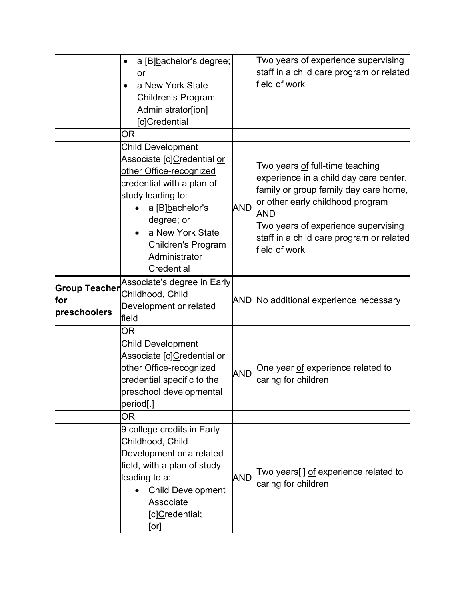|                                             | a [B]bachelor's degree;<br>or<br>a New York State<br><b>Children's Program</b><br>Administrator[ion]<br>[c]Credential<br>ΟR                                                                                                                                          |            | Two years of experience supervising<br>staff in a child care program or related<br>field of work                                                                                                                                                                                |
|---------------------------------------------|----------------------------------------------------------------------------------------------------------------------------------------------------------------------------------------------------------------------------------------------------------------------|------------|---------------------------------------------------------------------------------------------------------------------------------------------------------------------------------------------------------------------------------------------------------------------------------|
|                                             | <b>Child Development</b><br>Associate [c <u>]C</u> redential <u>or</u><br>other Office-recognized<br>credential with a plan of<br>study leading to:<br>a [B]bachelor's<br>degree; or<br>a New York State<br><b>Children's Program</b><br>Administrator<br>Credential | <b>AND</b> | Two years <u>of</u> full-time teaching<br>experience in a child day care center,<br>family or group family day care home,<br>or other early childhood program<br><b>AND</b><br>Two years of experience supervising<br>staff in a child care program or related<br>field of work |
| <b>Group Teacher</b><br>for<br>preschoolers | Associate's degree in Early<br>Childhood, Child<br>Development or related<br>field                                                                                                                                                                                   |            | AND No additional experience necessary                                                                                                                                                                                                                                          |
|                                             | ΟR                                                                                                                                                                                                                                                                   |            |                                                                                                                                                                                                                                                                                 |
|                                             | <b>Child Development</b><br>Associate [c] <u>C</u> redential or<br>other Office-recognized<br>credential specific to the<br>preschool developmental<br>period[.]                                                                                                     | <b>AND</b> | One year of experience related to<br>caring for children                                                                                                                                                                                                                        |
|                                             | OR                                                                                                                                                                                                                                                                   |            |                                                                                                                                                                                                                                                                                 |
|                                             | 9 college credits in Early<br>Childhood, Child<br>Development or a related<br>field, with a plan of study<br>leading to a:<br><b>Child Development</b><br>Associate<br>[c]Credential;<br>[or]                                                                        | <b>AND</b> | Two years['] <u>of</u> experience related to<br>caring for children                                                                                                                                                                                                             |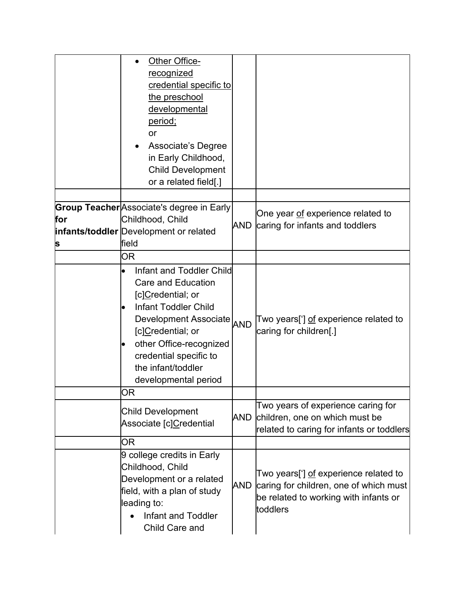|          | Other Office-<br>recognized<br>credential specific to<br>the preschool<br>developmental<br>period;<br>or<br>Associate's Degree<br>in Early Childhood,<br><b>Child Development</b><br>or a related field[.]                                                                                            |            |                                                                                                                                      |
|----------|-------------------------------------------------------------------------------------------------------------------------------------------------------------------------------------------------------------------------------------------------------------------------------------------------------|------------|--------------------------------------------------------------------------------------------------------------------------------------|
| for<br>S | <b>Group Teacher</b> Associate's degree in Early<br>Childhood, Child<br>infants/toddler Development or related<br>field                                                                                                                                                                               | AND        | One year of experience related to<br>caring for infants and toddlers                                                                 |
|          | OR                                                                                                                                                                                                                                                                                                    |            |                                                                                                                                      |
|          | Infant and Toddler Child<br>$\bullet$<br><b>Care and Education</b><br>[c]Credential; or<br><b>Infant Toddler Child</b><br>$\bullet$<br>Development Associate AND<br>[c]Credential; or<br>other Office-recognized<br>$\bullet$<br>credential specific to<br>the infant/toddler<br>developmental period |            | Two years['] <u>of</u> experience related to<br>caring for children[.]                                                               |
|          | ΟR                                                                                                                                                                                                                                                                                                    |            |                                                                                                                                      |
|          | <b>Child Development</b><br>Associate [c]Credential                                                                                                                                                                                                                                                   | AND        | Two years of experience caring for<br>children, one on which must be<br>related to caring for infants or toddlers                    |
|          | OR                                                                                                                                                                                                                                                                                                    |            |                                                                                                                                      |
|          | 9 college credits in Early<br>Childhood, Child<br>Development or a related<br>field, with a plan of study<br>leading to:<br>Infant and Toddler<br>Child Care and                                                                                                                                      | <b>AND</b> | Two years['] of experience related to<br>caring for children, one of which must<br>be related to working with infants or<br>toddlers |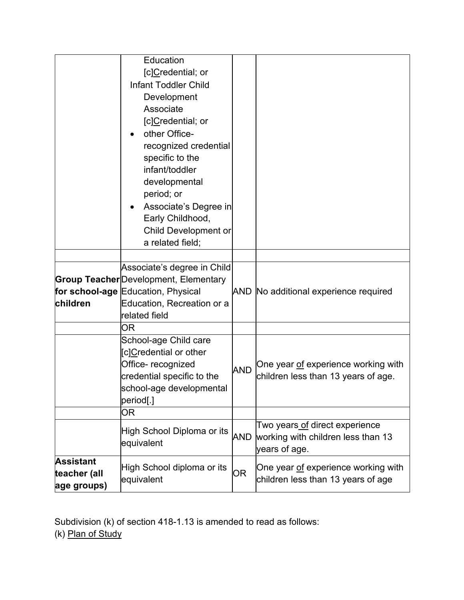|              | Education                                    |            |                                                                           |
|--------------|----------------------------------------------|------------|---------------------------------------------------------------------------|
|              | [c]Credential; or                            |            |                                                                           |
|              | <b>Infant Toddler Child</b>                  |            |                                                                           |
|              | Development                                  |            |                                                                           |
|              | Associate                                    |            |                                                                           |
|              | [c]Credential; or                            |            |                                                                           |
|              | other Office-                                |            |                                                                           |
|              | recognized credential                        |            |                                                                           |
|              | specific to the                              |            |                                                                           |
|              | infant/toddler                               |            |                                                                           |
|              | developmental                                |            |                                                                           |
|              | period; or                                   |            |                                                                           |
|              | Associate's Degree in                        |            |                                                                           |
|              | Early Childhood,                             |            |                                                                           |
|              | <b>Child Development or</b>                  |            |                                                                           |
|              | a related field;                             |            |                                                                           |
|              |                                              |            |                                                                           |
|              | Associate's degree in Child                  |            |                                                                           |
|              | <b>Group Teacher</b> Development, Elementary |            |                                                                           |
|              | for school-age Education, Physical           |            | AND No additional experience required                                     |
| children     | Education, Recreation or a                   |            |                                                                           |
|              | related field                                |            |                                                                           |
|              | OR                                           |            |                                                                           |
|              | School-age Child care                        |            |                                                                           |
|              | [c]Credential or other                       |            |                                                                           |
|              | Office-recognized                            | <b>AND</b> | One year of experience working with                                       |
|              | credential specific to the                   |            | children less than 13 years of age.                                       |
|              | school-age developmental                     |            |                                                                           |
|              | period[.]                                    |            |                                                                           |
|              | 0R                                           |            |                                                                           |
|              | High School Diploma or its                   | AND        | Two years of direct experience                                            |
|              | equivalent                                   |            |                                                                           |
| Assistant    |                                              |            |                                                                           |
| teacher (all | High School diploma or its<br>equivalent     | <b>OR</b>  | One year of experience working with<br>children less than 13 years of age |
| age groups)  |                                              |            |                                                                           |

Subdivision (k) of section 418-1.13 is amended to read as follows: (k) <u>Plan of Study</u>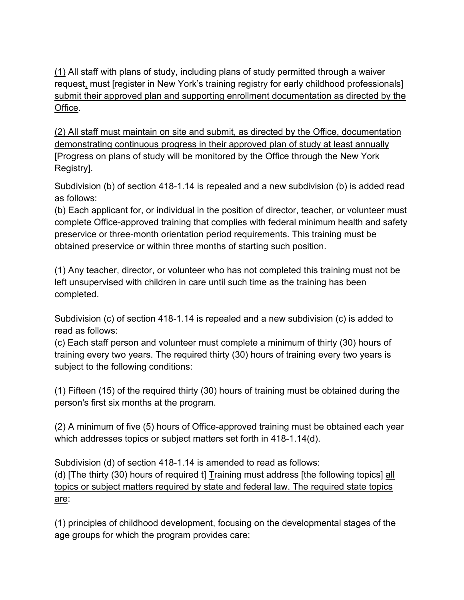(1) All staff with plans of study, including plans of study permitted through a waiver request, must [register in New York's training registry for early childhood professionals] submit their approved plan and supporting enrollment documentation as directed by the Office.

(2) All staff must maintain on site and submit, as directed by the Office, documentation demonstrating continuous progress in their approved plan of study at least annually [Progress on plans of study will be monitored by the Office through the New York Registry].

Subdivision (b) of section 418-1.14 is repealed and a new subdivision (b) is added read as follows:

(b) Each applicant for, or individual in the position of director, teacher, or volunteer must complete Office-approved training that complies with federal minimum health and safety preservice or three-month orientation period requirements. This training must be obtained preservice or within three months of starting such position.

(1) Any teacher, director, or volunteer who has not completed this training must not be left unsupervised with children in care until such time as the training has been completed.

Subdivision (c) of section 418-1.14 is repealed and a new subdivision (c) is added to read as follows:

(c) Each staff person and volunteer must complete a minimum of thirty (30) hours of training every two years. The required thirty (30) hours of training every two years is subject to the following conditions:

(1) Fifteen (15) of the required thirty (30) hours of training must be obtained during the person's first six months at the program.

(2) A minimum of five (5) hours of Office-approved training must be obtained each year which addresses topics or subject matters set forth in 418-1.14(d).

Subdivision (d) of section 418-1.14 is amended to read as follows: (d) [The thirty (30) hours of required t] Training must address [the following topics] all topics or subject matters required by state and federal law. The required state topics are:

(1) principles of childhood development, focusing on the developmental stages of the age groups for which the program provides care;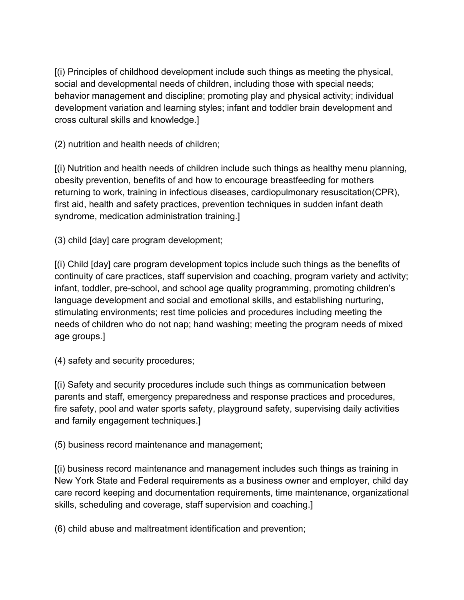[(i) Principles of childhood development include such things as meeting the physical, social and developmental needs of children, including those with special needs; behavior management and discipline; promoting play and physical activity; individual development variation and learning styles; infant and toddler brain development and cross cultural skills and knowledge.]

(2) nutrition and health needs of children;

[(i) Nutrition and health needs of children include such things as healthy menu planning, obesity prevention, benefits of and how to encourage breastfeeding for mothers returning to work, training in infectious diseases, cardiopulmonary resuscitation(CPR), first aid, health and safety practices, prevention techniques in sudden infant death syndrome, medication administration training.]

(3) child [day] care program development;

[(i) Child [day] care program development topics include such things as the benefits of continuity of care practices, staff supervision and coaching, program variety and activity; infant, toddler, pre-school, and school age quality programming, promoting children's language development and social and emotional skills, and establishing nurturing, stimulating environments; rest time policies and procedures including meeting the needs of children who do not nap; hand washing; meeting the program needs of mixed age groups.]

(4) safety and security procedures;

[(i) Safety and security procedures include such things as communication between parents and staff, emergency preparedness and response practices and procedures, fire safety, pool and water sports safety, playground safety, supervising daily activities and family engagement techniques.]

(5) business record maintenance and management;

[(i) business record maintenance and management includes such things as training in New York State and Federal requirements as a business owner and employer, child day care record keeping and documentation requirements, time maintenance, organizational skills, scheduling and coverage, staff supervision and coaching.]

(6) child abuse and maltreatment identification and prevention;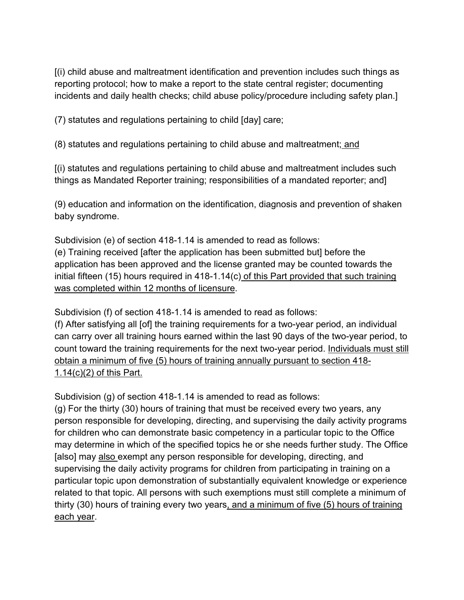[(i) child abuse and maltreatment identification and prevention includes such things as reporting protocol; how to make a report to the state central register; documenting incidents and daily health checks; child abuse policy/procedure including safety plan.]

(7) statutes and regulations pertaining to child [day] care;

(8) statutes and regulations pertaining to child abuse and maltreatment; and

[(i) statutes and regulations pertaining to child abuse and maltreatment includes such things as Mandated Reporter training; responsibilities of a mandated reporter; and]

(9) education and information on the identification, diagnosis and prevention of shaken baby syndrome.

Subdivision (e) of section 418-1.14 is amended to read as follows: (e) Training received [after the application has been submitted but] before the application has been approved and the license granted may be counted towards the initial fifteen (15) hours required in 418-1.14(c) of this Part provided that such training was completed within 12 months of licensure.

Subdivision (f) of section 418-1.14 is amended to read as follows:

(f) After satisfying all [of] the training requirements for a two-year period, an individual can carry over all training hours earned within the last 90 days of the two-year period, to count toward the training requirements for the next two-year period. Individuals must still obtain a minimum of five (5) hours of training annually pursuant to section 418- 1.14(c)(2) of this Part.

Subdivision (g) of section 418-1.14 is amended to read as follows:

(g) For the thirty (30) hours of training that must be received every two years, any person responsible for developing, directing, and supervising the daily activity programs for children who can demonstrate basic competency in a particular topic to the Office may determine in which of the specified topics he or she needs further study. The Office [also] may also exempt any person responsible for developing, directing, and supervising the daily activity programs for children from participating in training on a particular topic upon demonstration of substantially equivalent knowledge or experience related to that topic. All persons with such exemptions must still complete a minimum of thirty (30) hours of training every two years, and a minimum of five (5) hours of training each year.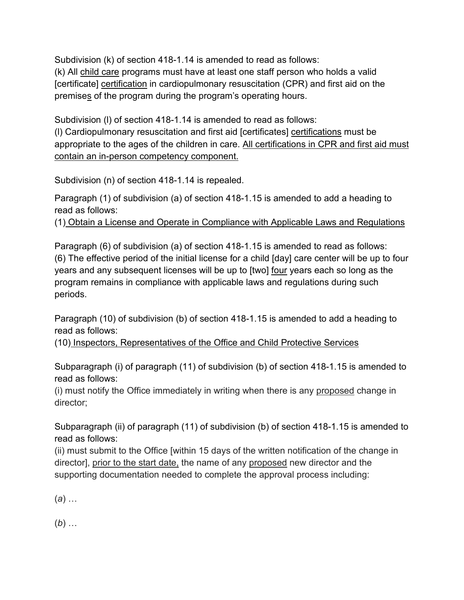Subdivision (k) of section 418-1.14 is amended to read as follows: (k) All child care programs must have at least one staff person who holds a valid [certificate] certification in cardiopulmonary resuscitation (CPR) and first aid on the premises of the program during the program's operating hours.

Subdivision (l) of section 418-1.14 is amended to read as follows: (l) Cardiopulmonary resuscitation and first aid [certificates] certifications must be appropriate to the ages of the children in care. All certifications in CPR and first aid must contain an in-person competency component.

Subdivision (n) of section 418-1.14 is repealed.

Paragraph (1) of subdivision (a) of section 418-1.15 is amended to add a heading to read as follows:

(1) Obtain a License and Operate in Compliance with Applicable Laws and Regulations

Paragraph (6) of subdivision (a) of section 418-1.15 is amended to read as follows: (6) The effective period of the initial license for a child [day] care center will be up to four years and any subsequent licenses will be up to [two] four years each so long as the program remains in compliance with applicable laws and regulations during such periods.

Paragraph (10) of subdivision (b) of section 418-1.15 is amended to add a heading to read as follows:

(10) Inspectors, Representatives of the Office and Child Protective Services

Subparagraph (i) of paragraph (11) of subdivision (b) of section 418-1.15 is amended to read as follows:

(i) must notify the Office immediately in writing when there is any proposed change in director;

Subparagraph (ii) of paragraph (11) of subdivision (b) of section 418-1.15 is amended to read as follows:

(ii) must submit to the Office [within 15 days of the written notification of the change in director], prior to the start date, the name of any proposed new director and the supporting documentation needed to complete the approval process including:

(*a*) …

(*b*) …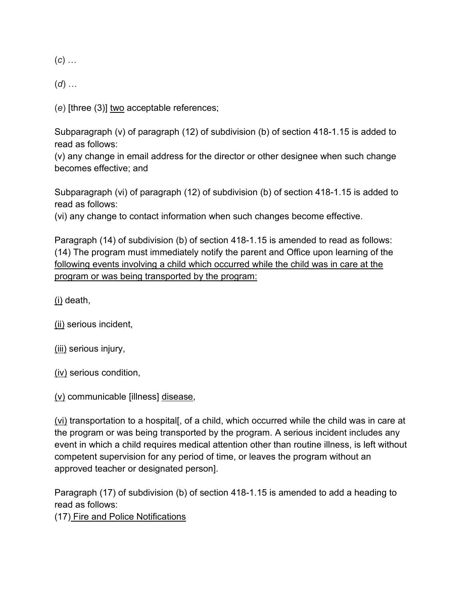(*c*) …

(*d*) …

(*e*) [three (3)] two acceptable references;

Subparagraph (v) of paragraph (12) of subdivision (b) of section 418-1.15 is added to read as follows:

(v) any change in email address for the director or other designee when such change becomes effective; and

Subparagraph (vi) of paragraph (12) of subdivision (b) of section 418-1.15 is added to read as follows:

(vi) any change to contact information when such changes become effective.

Paragraph (14) of subdivision (b) of section 418-1.15 is amended to read as follows: (14) The program must immediately notify the parent and Office upon learning of the following events involving a child which occurred while the child was in care at the program or was being transported by the program:

(i) death,

(ii) serious incident,

(iii) serious injury,

(iv) serious condition,

(v) communicable [illness] disease,

(vi) transportation to a hospital[, of a child, which occurred while the child was in care at the program or was being transported by the program. A serious incident includes any event in which a child requires medical attention other than routine illness, is left without competent supervision for any period of time, or leaves the program without an approved teacher or designated person].

Paragraph (17) of subdivision (b) of section 418-1.15 is amended to add a heading to read as follows:

(17) Fire and Police Notifications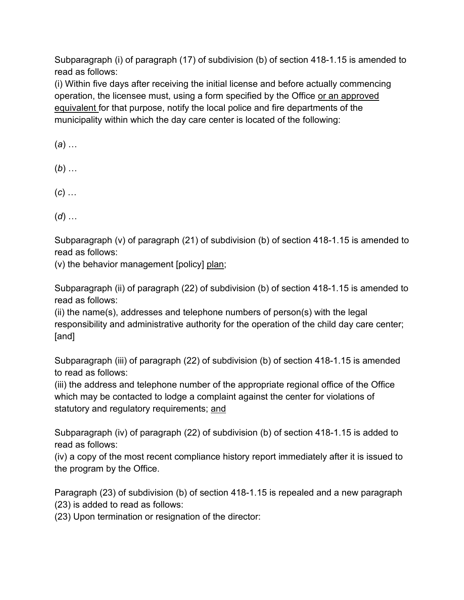Subparagraph (i) of paragraph (17) of subdivision (b) of section 418-1.15 is amended to read as follows:

(i) Within five days after receiving the initial license and before actually commencing operation, the licensee must, using a form specified by the Office or an approved equivalent for that purpose, notify the local police and fire departments of the municipality within which the day care center is located of the following:

(*a*) …

(*b*) …

(*c*) …

(*d*) …

Subparagraph (v) of paragraph (21) of subdivision (b) of section 418-1.15 is amended to read as follows:

(v) the behavior management [policy] plan;

Subparagraph (ii) of paragraph (22) of subdivision (b) of section 418-1.15 is amended to read as follows:

(ii) the name(s), addresses and telephone numbers of person(s) with the legal responsibility and administrative authority for the operation of the child day care center; [and]

Subparagraph (iii) of paragraph (22) of subdivision (b) of section 418-1.15 is amended to read as follows:

(iii) the address and telephone number of the appropriate regional office of the Office which may be contacted to lodge a complaint against the center for violations of statutory and regulatory requirements; and

Subparagraph (iv) of paragraph (22) of subdivision (b) of section 418-1.15 is added to read as follows:

(iv) a copy of the most recent compliance history report immediately after it is issued to the program by the Office.

Paragraph (23) of subdivision (b) of section 418-1.15 is repealed and a new paragraph (23) is added to read as follows:

(23) Upon termination or resignation of the director: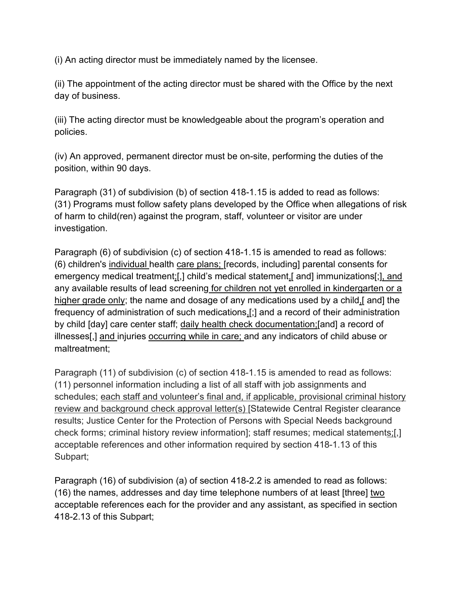(i) An acting director must be immediately named by the licensee.

(ii) The appointment of the acting director must be shared with the Office by the next day of business.

(iii) The acting director must be knowledgeable about the program's operation and policies.

(iv) An approved, permanent director must be on-site, performing the duties of the position, within 90 days.

Paragraph (31) of subdivision (b) of section 418-1.15 is added to read as follows: (31) Programs must follow safety plans developed by the Office when allegations of risk of harm to child(ren) against the program, staff, volunteer or visitor are under investigation.

Paragraph (6) of subdivision (c) of section 418-1.15 is amended to read as follows: (6) children's individual health care plans; [records, including] parental consents for emergency medical treatment;[,] child's medical statement,[ and] immunizations[;], and any available results of lead screening for children not yet enrolled in kindergarten or a higher grade only; the name and dosage of any medications used by a child, [and] the frequency of administration of such medications,[;] and a record of their administration by child [day] care center staff; daily health check documentation;[and] a record of illnesses[,] and injuries occurring while in care; and any indicators of child abuse or maltreatment;

Paragraph (11) of subdivision (c) of section 418-1.15 is amended to read as follows: (11) personnel information including a list of all staff with job assignments and schedules; each staff and volunteer's final and, if applicable, provisional criminal history review and background check approval letter(s) [Statewide Central Register clearance results; Justice Center for the Protection of Persons with Special Needs background check forms; criminal history review information]; staff resumes; medical statements;[,] acceptable references and other information required by section 418-1.13 of this Subpart;

Paragraph (16) of subdivision (a) of section 418-2.2 is amended to read as follows: (16) the names, addresses and day time telephone numbers of at least [three] two acceptable references each for the provider and any assistant, as specified in section 418-2.13 of this Subpart;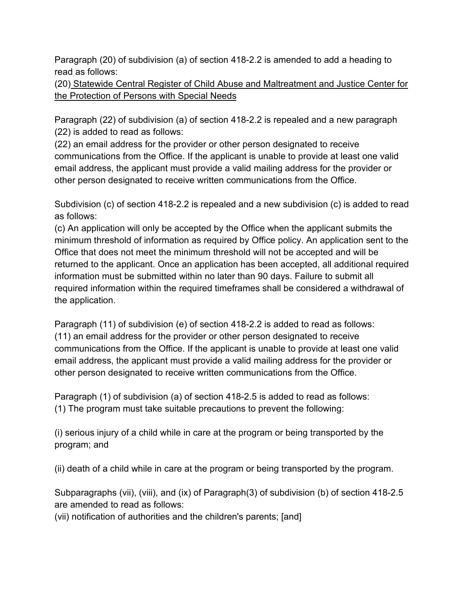Paragraph (20) of subdivision (a) of section 418-2.2 is amended to add a heading to read as follows:

(20) Statewide Central Register of Child Abuse and Maltreatment and Justice Center for the Protection of Persons with Special Needs

Paragraph (22) of subdivision (a) of section 418-2.2 is repealed and a new paragraph (22) is added to read as follows:

(22) an email address for the provider or other person designated to receive communications from the Office. If the applicant is unable to provide at least one valid email address, the applicant must provide a valid mailing address for the provider or other person designated to receive written communications from the Office.

Subdivision (c) of section 418-2.2 is repealed and a new subdivision (c) is added to read as follows:

(c) An application will only be accepted by the Office when the applicant submits the minimum threshold of information as required by Office policy. An application sent to the Office that does not meet the minimum threshold will not be accepted and will be returned to the applicant. Once an application has been accepted, all additional required information must be submitted within no later than 90 days. Failure to submit all required information within the required timeframes shall be considered a withdrawal of the application.

Paragraph (11) of subdivision (e) of section 418-2.2 is added to read as follows: (11) an email address for the provider or other person designated to receive communications from the Office. If the applicant is unable to provide at least one valid email address, the applicant must provide a valid mailing address for the provider or other person designated to receive written communications from the Office.

Paragraph (1) of subdivision (a) of section 418-2.5 is added to read as follows: (1) The program must take suitable precautions to prevent the following:

(i) serious injury of a child while in care at the program or being transported by the program; and

(ii) death of a child while in care at the program or being transported by the program.

Subparagraphs (vii), (viii), and (ix) of Paragraph(3) of subdivision (b) of section 418-2.5 are amended to read as follows:

(vii) notification of authorities and the children's parents; [and]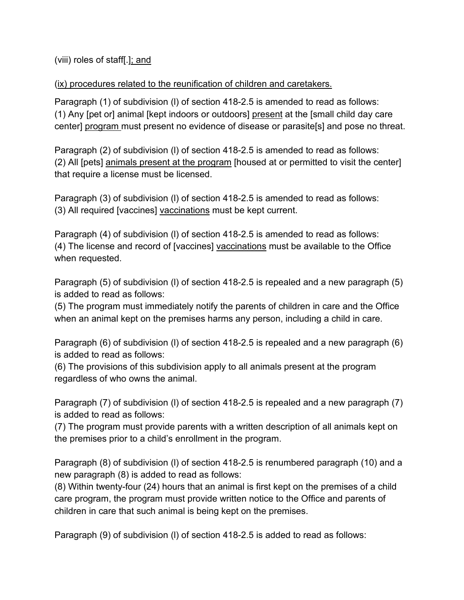## (viii) roles of staff[.]; and

## (ix) procedures related to the reunification of children and caretakers.

Paragraph (1) of subdivision (l) of section 418-2.5 is amended to read as follows: (1) Any [pet or] animal [kept indoors or outdoors] present at the [small child day care center] program must present no evidence of disease or parasite[s] and pose no threat.

Paragraph (2) of subdivision (l) of section 418-2.5 is amended to read as follows: (2) All [pets] animals present at the program [housed at or permitted to visit the center] that require a license must be licensed.

Paragraph (3) of subdivision (l) of section 418-2.5 is amended to read as follows: (3) All required [vaccines] vaccinations must be kept current.

Paragraph (4) of subdivision (l) of section 418-2.5 is amended to read as follows: (4) The license and record of [vaccines] vaccinations must be available to the Office when requested.

Paragraph (5) of subdivision (l) of section 418-2.5 is repealed and a new paragraph (5) is added to read as follows:

(5) The program must immediately notify the parents of children in care and the Office when an animal kept on the premises harms any person, including a child in care.

Paragraph (6) of subdivision (l) of section 418-2.5 is repealed and a new paragraph (6) is added to read as follows:

(6) The provisions of this subdivision apply to all animals present at the program regardless of who owns the animal.

Paragraph (7) of subdivision (l) of section 418-2.5 is repealed and a new paragraph (7) is added to read as follows:

(7) The program must provide parents with a written description of all animals kept on the premises prior to a child's enrollment in the program.

Paragraph (8) of subdivision (l) of section 418-2.5 is renumbered paragraph (10) and a new paragraph (8) is added to read as follows:

(8) Within twenty-four (24) hours that an animal is first kept on the premises of a child care program, the program must provide written notice to the Office and parents of children in care that such animal is being kept on the premises.

Paragraph (9) of subdivision (l) of section 418-2.5 is added to read as follows: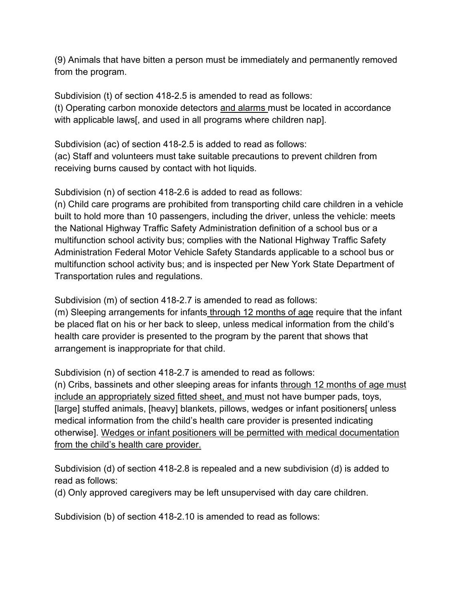(9) Animals that have bitten a person must be immediately and permanently removed from the program.

Subdivision (t) of section 418-2.5 is amended to read as follows: (t) Operating carbon monoxide detectors and alarms must be located in accordance with applicable laws[, and used in all programs where children nap].

Subdivision (ac) of section 418-2.5 is added to read as follows: (ac) Staff and volunteers must take suitable precautions to prevent children from receiving burns caused by contact with hot liquids.

Subdivision (n) of section 418-2.6 is added to read as follows:

(n) Child care programs are prohibited from transporting child care children in a vehicle built to hold more than 10 passengers, including the driver, unless the vehicle: meets the National Highway Traffic Safety Administration definition of a school bus or a multifunction school activity bus; complies with the National Highway Traffic Safety Administration Federal Motor Vehicle Safety Standards applicable to a school bus or multifunction school activity bus; and is inspected per New York State Department of Transportation rules and regulations.

Subdivision (m) of section 418-2.7 is amended to read as follows:

(m) Sleeping arrangements for infants through 12 months of age require that the infant be placed flat on his or her back to sleep, unless medical information from the child's health care provider is presented to the program by the parent that shows that arrangement is inappropriate for that child.

Subdivision (n) of section 418-2.7 is amended to read as follows:

(n) Cribs, bassinets and other sleeping areas for infants through 12 months of age must include an appropriately sized fitted sheet, and must not have bumper pads, toys, [large] stuffed animals, [heavy] blankets, pillows, wedges or infant positioners[ unless medical information from the child's health care provider is presented indicating otherwise]. Wedges or infant positioners will be permitted with medical documentation from the child's health care provider.

Subdivision (d) of section 418-2.8 is repealed and a new subdivision (d) is added to read as follows:

(d) Only approved caregivers may be left unsupervised with day care children.

Subdivision (b) of section 418-2.10 is amended to read as follows: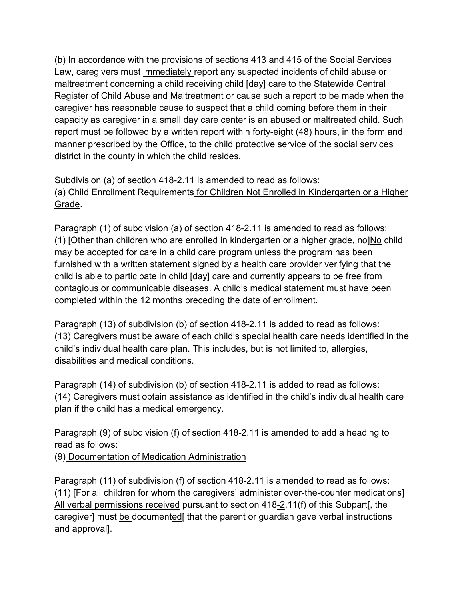(b) In accordance with the provisions of sections 413 and 415 of the Social Services Law, caregivers must immediately report any suspected incidents of child abuse or maltreatment concerning a child receiving child [day] care to the Statewide Central Register of Child Abuse and Maltreatment or cause such a report to be made when the caregiver has reasonable cause to suspect that a child coming before them in their capacity as caregiver in a small day care center is an abused or maltreated child. Such report must be followed by a written report within forty-eight (48) hours, in the form and manner prescribed by the Office, to the child protective service of the social services district in the county in which the child resides.

Subdivision (a) of section 418-2.11 is amended to read as follows: (a) Child Enrollment Requirements for Children Not Enrolled in Kindergarten or a Higher Grade.

Paragraph (1) of subdivision (a) of section 418-2.11 is amended to read as follows: (1) [Other than children who are enrolled in kindergarten or a higher grade, no]No child may be accepted for care in a child care program unless the program has been furnished with a written statement signed by a health care provider verifying that the child is able to participate in child [day] care and currently appears to be free from contagious or communicable diseases. A child's medical statement must have been completed within the 12 months preceding the date of enrollment.

Paragraph (13) of subdivision (b) of section 418-2.11 is added to read as follows: (13) Caregivers must be aware of each child's special health care needs identified in the child's individual health care plan. This includes, but is not limited to, allergies, disabilities and medical conditions.

Paragraph (14) of subdivision (b) of section 418-2.11 is added to read as follows: (14) Caregivers must obtain assistance as identified in the child's individual health care plan if the child has a medical emergency.

Paragraph (9) of subdivision (f) of section 418-2.11 is amended to add a heading to read as follows:

(9) Documentation of Medication Administration

Paragraph (11) of subdivision (f) of section 418-2.11 is amended to read as follows: (11) [For all children for whom the caregivers' administer over-the-counter medications] All verbal permissions received pursuant to section 418-2.11(f) of this Subpart[, the caregiver] must be documented[ that the parent or guardian gave verbal instructions and approval].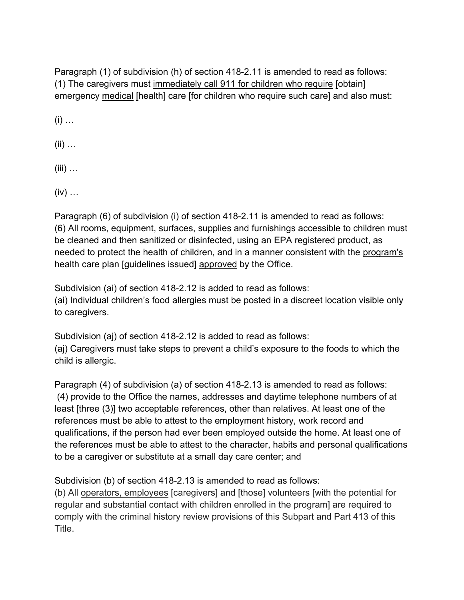Paragraph (1) of subdivision (h) of section 418-2.11 is amended to read as follows: (1) The caregivers must immediately call 911 for children who require [obtain] emergency medical [health] care [for children who require such care] and also must:

 $(i)$  …

 $(ii)$  ...

 $(iii)$  ...

 $(iv)$  ...

Paragraph (6) of subdivision (i) of section 418-2.11 is amended to read as follows: (6) All rooms, equipment, surfaces, supplies and furnishings accessible to children must be cleaned and then sanitized or disinfected, using an EPA registered product, as needed to protect the health of children, and in a manner consistent with the program's health care plan [guidelines issued] approved by the Office.

Subdivision (ai) of section 418-2.12 is added to read as follows: (ai) Individual children's food allergies must be posted in a discreet location visible only to caregivers.

Subdivision (aj) of section 418-2.12 is added to read as follows: (aj) Caregivers must take steps to prevent a child's exposure to the foods to which the child is allergic.

Paragraph (4) of subdivision (a) of section 418-2.13 is amended to read as follows: (4) provide to the Office the names, addresses and daytime telephone numbers of at least [three (3)] two acceptable references, other than relatives. At least one of the references must be able to attest to the employment history, work record and qualifications, if the person had ever been employed outside the home. At least one of the references must be able to attest to the character, habits and personal qualifications to be a caregiver or substitute at a small day care center; and

Subdivision (b) of section 418-2.13 is amended to read as follows:

(b) All operators, employees [caregivers] and [those] volunteers [with the potential for regular and substantial contact with children enrolled in the program] are required to comply with the criminal history review provisions of this Subpart and Part 413 of this Title.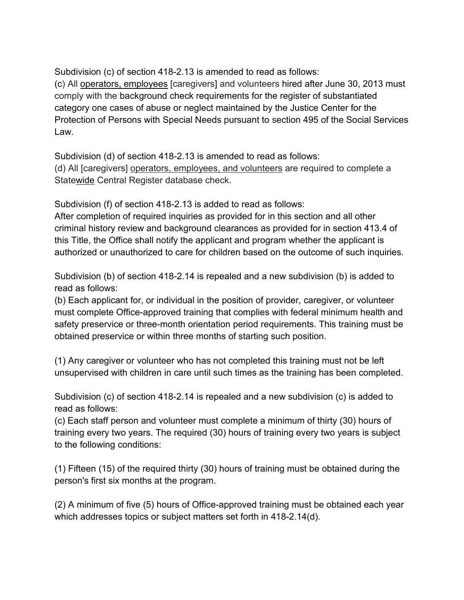Subdivision (c) of section 418-2.13 is amended to read as follows: (c) All operators, employees [caregivers] and volunteers hired after June 30, 2013 must comply with the background check requirements for the register of substantiated category one cases of abuse or neglect maintained by the Justice Center for the Protection of Persons with Special Needs pursuant to section 495 of the Social Services Law.

Subdivision (d) of section 418-2.13 is amended to read as follows: (d) All [caregivers] operators, employees, and volunteers are required to complete a Statewide Central Register database check.

Subdivision (f) of section 418-2.13 is added to read as follows:

After completion of required inquiries as provided for in this section and all other criminal history review and background clearances as provided for in section 413.4 of this Title, the Office shall notify the applicant and program whether the applicant is authorized or unauthorized to care for children based on the outcome of such inquiries.

Subdivision (b) of section 418-2.14 is repealed and a new subdivision (b) is added to read as follows:

(b) Each applicant for, or individual in the position of provider, caregiver, or volunteer must complete Office-approved training that complies with federal minimum health and safety preservice or three-month orientation period requirements. This training must be obtained preservice or within three months of starting such position.

(1) Any caregiver or volunteer who has not completed this training must not be left unsupervised with children in care until such times as the training has been completed.

Subdivision (c) of section 418-2.14 is repealed and a new subdivision (c) is added to read as follows:

(c) Each staff person and volunteer must complete a minimum of thirty (30) hours of training every two years. The required (30) hours of training every two years is subject to the following conditions:

(1) Fifteen (15) of the required thirty (30) hours of training must be obtained during the person's first six months at the program.

(2) A minimum of five (5) hours of Office-approved training must be obtained each year which addresses topics or subject matters set forth in 418-2.14(d).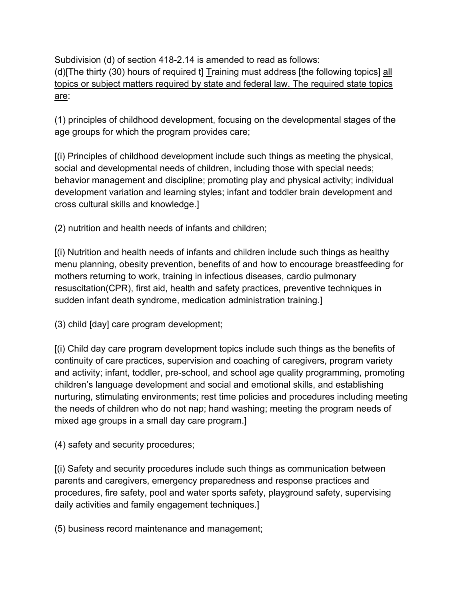Subdivision (d) of section 418-2.14 is amended to read as follows: (d)[The thirty (30) hours of required t] Training must address [the following topics] all topics or subject matters required by state and federal law. The required state topics are:

(1) principles of childhood development, focusing on the developmental stages of the age groups for which the program provides care;

[(i) Principles of childhood development include such things as meeting the physical, social and developmental needs of children, including those with special needs; behavior management and discipline; promoting play and physical activity; individual development variation and learning styles; infant and toddler brain development and cross cultural skills and knowledge.]

(2) nutrition and health needs of infants and children;

[(i) Nutrition and health needs of infants and children include such things as healthy menu planning, obesity prevention, benefits of and how to encourage breastfeeding for mothers returning to work, training in infectious diseases, cardio pulmonary resuscitation(CPR), first aid, health and safety practices, preventive techniques in sudden infant death syndrome, medication administration training.]

(3) child [day] care program development;

[(i) Child day care program development topics include such things as the benefits of continuity of care practices, supervision and coaching of caregivers, program variety and activity; infant, toddler, pre-school, and school age quality programming, promoting children's language development and social and emotional skills, and establishing nurturing, stimulating environments; rest time policies and procedures including meeting the needs of children who do not nap; hand washing; meeting the program needs of mixed age groups in a small day care program.]

(4) safety and security procedures;

[(i) Safety and security procedures include such things as communication between parents and caregivers, emergency preparedness and response practices and procedures, fire safety, pool and water sports safety, playground safety, supervising daily activities and family engagement techniques.]

(5) business record maintenance and management;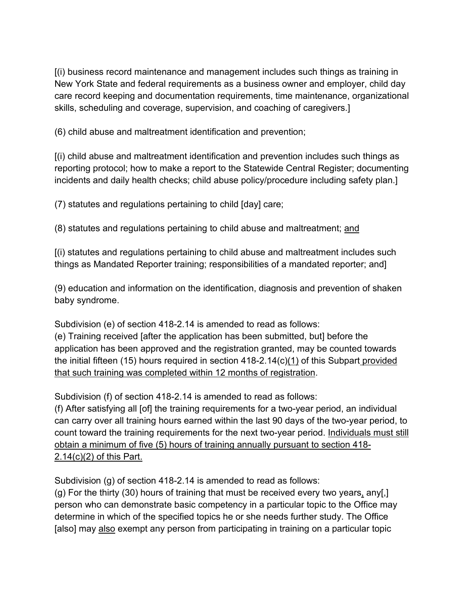[(i) business record maintenance and management includes such things as training in New York State and federal requirements as a business owner and employer, child day care record keeping and documentation requirements, time maintenance, organizational skills, scheduling and coverage, supervision, and coaching of caregivers.]

(6) child abuse and maltreatment identification and prevention;

[(i) child abuse and maltreatment identification and prevention includes such things as reporting protocol; how to make a report to the Statewide Central Register; documenting incidents and daily health checks; child abuse policy/procedure including safety plan.]

(7) statutes and regulations pertaining to child [day] care;

(8) statutes and regulations pertaining to child abuse and maltreatment; and

[(i) statutes and regulations pertaining to child abuse and maltreatment includes such things as Mandated Reporter training; responsibilities of a mandated reporter; and]

(9) education and information on the identification, diagnosis and prevention of shaken baby syndrome.

Subdivision (e) of section 418-2.14 is amended to read as follows:

(e) Training received [after the application has been submitted, but] before the application has been approved and the registration granted, may be counted towards the initial fifteen (15) hours required in section 418-2.14(c)(1) of this Subpart provided that such training was completed within 12 months of registration.

Subdivision (f) of section 418-2.14 is amended to read as follows:

(f) After satisfying all [of] the training requirements for a two-year period, an individual can carry over all training hours earned within the last 90 days of the two-year period, to count toward the training requirements for the next two-year period. Individuals must still obtain a minimum of five (5) hours of training annually pursuant to section 418- 2.14(c)(2) of this Part.

Subdivision (g) of section 418-2.14 is amended to read as follows:

(g) For the thirty (30) hours of training that must be received every two years, any[.] person who can demonstrate basic competency in a particular topic to the Office may determine in which of the specified topics he or she needs further study. The Office [also] may also exempt any person from participating in training on a particular topic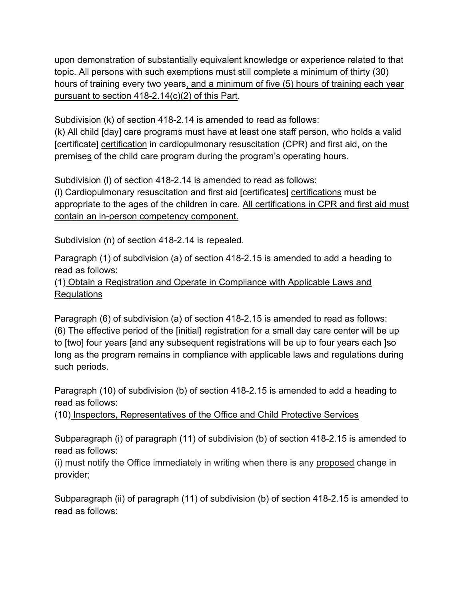upon demonstration of substantially equivalent knowledge or experience related to that topic. All persons with such exemptions must still complete a minimum of thirty (30) hours of training every two years, and a minimum of five (5) hours of training each year pursuant to section 418-2.14(c)(2) of this Part.

Subdivision (k) of section 418-2.14 is amended to read as follows:

(k) All child [day] care programs must have at least one staff person, who holds a valid [certificate] certification in cardiopulmonary resuscitation (CPR) and first aid, on the premises of the child care program during the program's operating hours.

Subdivision (l) of section 418-2.14 is amended to read as follows:

(l) Cardiopulmonary resuscitation and first aid [certificates] certifications must be appropriate to the ages of the children in care. All certifications in CPR and first aid must contain an in-person competency component.

Subdivision (n) of section 418-2.14 is repealed.

Paragraph (1) of subdivision (a) of section 418-2.15 is amended to add a heading to read as follows:

(1) Obtain a Registration and Operate in Compliance with Applicable Laws and Regulations

Paragraph (6) of subdivision (a) of section 418-2.15 is amended to read as follows: (6) The effective period of the [initial] registration for a small day care center will be up to [two] four years [and any subsequent registrations will be up to four years each ]so long as the program remains in compliance with applicable laws and regulations during such periods.

Paragraph (10) of subdivision (b) of section 418-2.15 is amended to add a heading to read as follows:

(10) Inspectors, Representatives of the Office and Child Protective Services

Subparagraph (i) of paragraph (11) of subdivision (b) of section 418-2.15 is amended to read as follows:

(i) must notify the Office immediately in writing when there is any proposed change in provider;

Subparagraph (ii) of paragraph (11) of subdivision (b) of section 418-2.15 is amended to read as follows: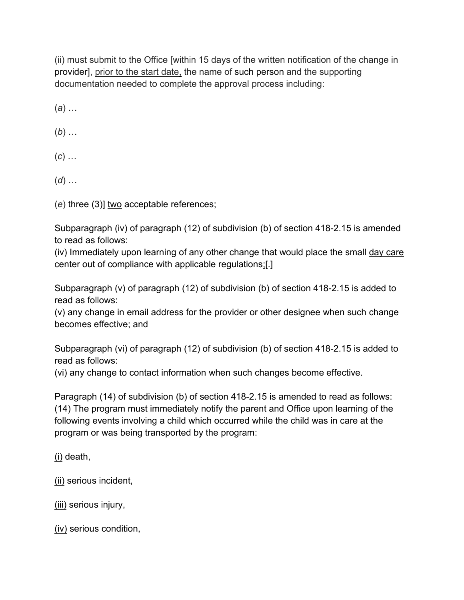(ii) must submit to the Office [within 15 days of the written notification of the change in provider], prior to the start date, the name of such person and the supporting documentation needed to complete the approval process including:

(*a*) …

(*b*) …

(*c*) …

(*d*) …

(*e*) three (3)] two acceptable references;

Subparagraph (iv) of paragraph (12) of subdivision (b) of section 418-2.15 is amended to read as follows:

(iv) Immediately upon learning of any other change that would place the small day care center out of compliance with applicable regulations;[.]

Subparagraph (v) of paragraph (12) of subdivision (b) of section 418-2.15 is added to read as follows:

(v) any change in email address for the provider or other designee when such change becomes effective; and

Subparagraph (vi) of paragraph (12) of subdivision (b) of section 418-2.15 is added to read as follows:

(vi) any change to contact information when such changes become effective.

Paragraph (14) of subdivision (b) of section 418-2.15 is amended to read as follows: (14) The program must immediately notify the parent and Office upon learning of the following events involving a child which occurred while the child was in care at the program or was being transported by the program:

(i) death,

(ii) serious incident,

(iii) serious injury,

(iv) serious condition,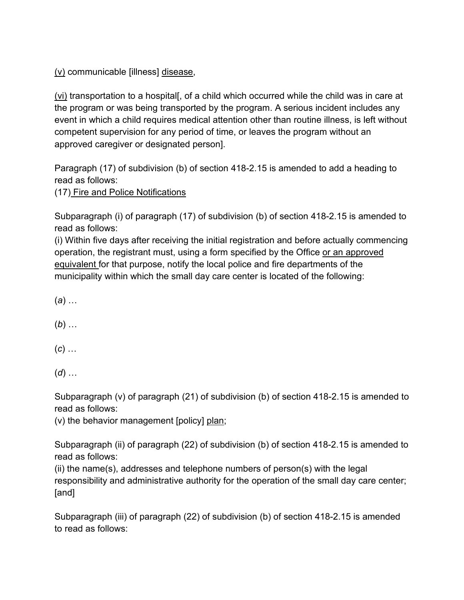(v) communicable [illness] disease,

(vi) transportation to a hospital[, of a child which occurred while the child was in care at the program or was being transported by the program. A serious incident includes any event in which a child requires medical attention other than routine illness, is left without competent supervision for any period of time, or leaves the program without an approved caregiver or designated person].

Paragraph (17) of subdivision (b) of section 418-2.15 is amended to add a heading to read as follows:

(17) Fire and Police Notifications

Subparagraph (i) of paragraph (17) of subdivision (b) of section 418-2.15 is amended to read as follows:

(i) Within five days after receiving the initial registration and before actually commencing operation, the registrant must, using a form specified by the Office or an approved equivalent for that purpose, notify the local police and fire departments of the municipality within which the small day care center is located of the following:

(*a*) …

(*b*) …

(*c*) …

(*d*) …

Subparagraph (v) of paragraph (21) of subdivision (b) of section 418-2.15 is amended to read as follows:

(v) the behavior management [policy] plan;

Subparagraph (ii) of paragraph (22) of subdivision (b) of section 418-2.15 is amended to read as follows:

(ii) the name(s), addresses and telephone numbers of person(s) with the legal responsibility and administrative authority for the operation of the small day care center; [and]

Subparagraph (iii) of paragraph (22) of subdivision (b) of section 418-2.15 is amended to read as follows: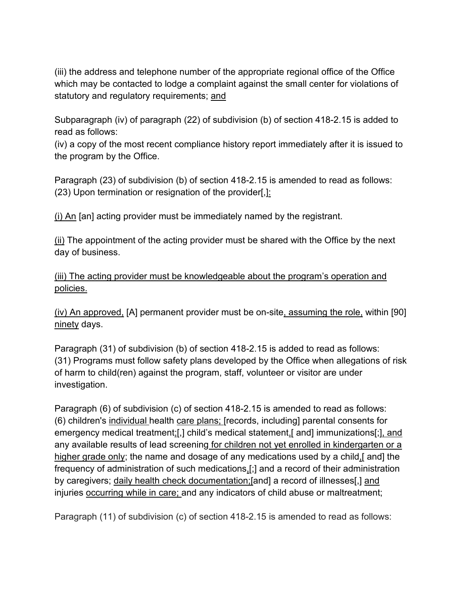(iii) the address and telephone number of the appropriate regional office of the Office which may be contacted to lodge a complaint against the small center for violations of statutory and regulatory requirements; and

Subparagraph (iv) of paragraph (22) of subdivision (b) of section 418-2.15 is added to read as follows:

(iv) a copy of the most recent compliance history report immediately after it is issued to the program by the Office.

Paragraph (23) of subdivision (b) of section 418-2.15 is amended to read as follows: (23) Upon termination or resignation of the provider[,]:

(i) An [an] acting provider must be immediately named by the registrant.

(ii) The appointment of the acting provider must be shared with the Office by the next day of business.

(iii) The acting provider must be knowledgeable about the program's operation and policies.

(iv) An approved, [A] permanent provider must be on-site, assuming the role, within [90] ninety days.

Paragraph (31) of subdivision (b) of section 418-2.15 is added to read as follows: (31) Programs must follow safety plans developed by the Office when allegations of risk of harm to child(ren) against the program, staff, volunteer or visitor are under investigation.

Paragraph (6) of subdivision (c) of section 418-2.15 is amended to read as follows: (6) children's individual health care plans; [records, including] parental consents for emergency medical treatment;[,] child's medical statement,[ and] immunizations[;], and any available results of lead screening for children not yet enrolled in kindergarten or a higher grade only; the name and dosage of any medications used by a child, [and] the frequency of administration of such medications,[;] and a record of their administration by caregivers; daily health check documentation;[and] a record of illnesses[,] and injuries occurring while in care; and any indicators of child abuse or maltreatment;

Paragraph (11) of subdivision (c) of section 418-2.15 is amended to read as follows: